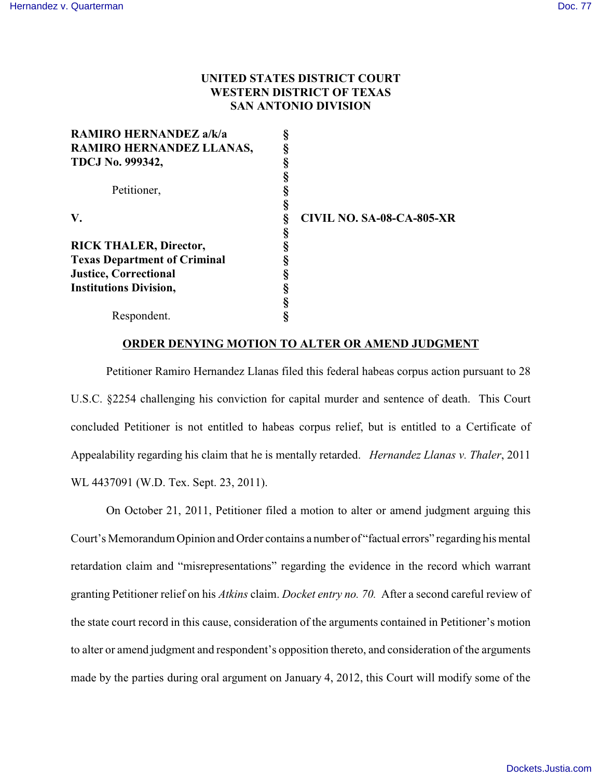# **UNITED STATES DISTRICT COURT WESTERN DISTRICT OF TEXAS SAN ANTONIO DIVISION**

| RAMIRO HERNANDEZ a/k/a              |                                  |
|-------------------------------------|----------------------------------|
| RAMIRO HERNANDEZ LLANAS,            |                                  |
| <b>TDCJ No. 999342,</b>             |                                  |
|                                     |                                  |
| Petitioner,                         |                                  |
|                                     |                                  |
| V.                                  | <b>CIVIL NO. SA-08-CA-805-XR</b> |
|                                     |                                  |
| <b>RICK THALER, Director,</b>       |                                  |
| <b>Texas Department of Criminal</b> |                                  |
| <b>Justice, Correctional</b>        |                                  |
| <b>Institutions Division,</b>       |                                  |
|                                     |                                  |
| Respondent.                         |                                  |

## **ORDER DENYING MOTION TO ALTER OR AMEND JUDGMENT**

Petitioner Ramiro Hernandez Llanas filed this federal habeas corpus action pursuant to 28 U.S.C. §2254 challenging his conviction for capital murder and sentence of death. This Court concluded Petitioner is not entitled to habeas corpus relief, but is entitled to a Certificate of Appealability regarding his claim that he is mentally retarded. *Hernandez Llanas v. Thaler*, 2011 WL 4437091 (W.D. Tex. Sept. 23, 2011).

On October 21, 2011, Petitioner filed a motion to alter or amend judgment arguing this Court's Memorandum Opinion and Order contains a number of "factual errors" regarding his mental retardation claim and "misrepresentations" regarding the evidence in the record which warrant granting Petitioner relief on his *Atkins* claim. *Docket entry no. 70.* After a second careful review of the state court record in this cause, consideration of the arguments contained in Petitioner's motion to alter or amend judgment and respondent's opposition thereto, and consideration of the arguments made by the parties during oral argument on January 4, 2012, this Court will modify some of the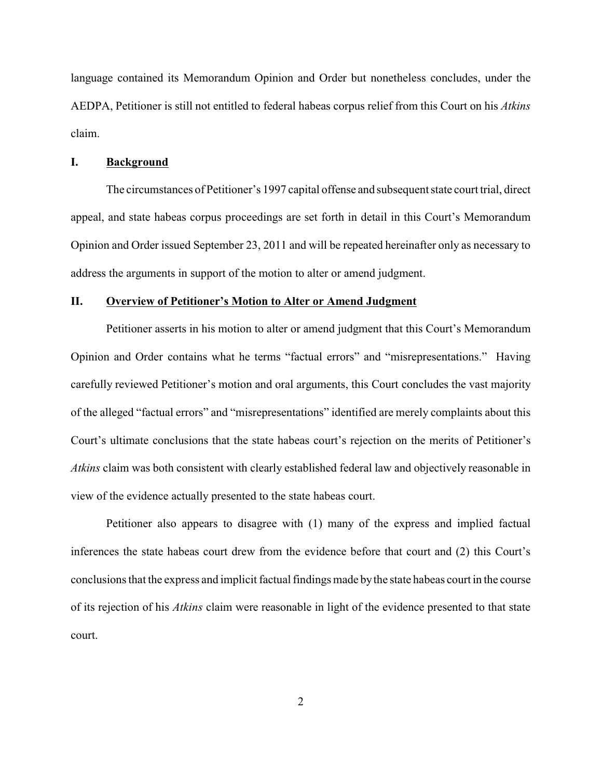language contained its Memorandum Opinion and Order but nonetheless concludes, under the AEDPA, Petitioner is still not entitled to federal habeas corpus relief from this Court on his *Atkins* claim.

# **I. Background**

The circumstances of Petitioner's 1997 capital offense and subsequent state court trial, direct appeal, and state habeas corpus proceedings are set forth in detail in this Court's Memorandum Opinion and Order issued September 23, 2011 and will be repeated hereinafter only as necessary to address the arguments in support of the motion to alter or amend judgment.

#### **II. Overview of Petitioner's Motion to Alter or Amend Judgment**

Petitioner asserts in his motion to alter or amend judgment that this Court's Memorandum Opinion and Order contains what he terms "factual errors" and "misrepresentations." Having carefully reviewed Petitioner's motion and oral arguments, this Court concludes the vast majority of the alleged "factual errors" and "misrepresentations" identified are merely complaints about this Court's ultimate conclusions that the state habeas court's rejection on the merits of Petitioner's *Atkins* claim was both consistent with clearly established federal law and objectively reasonable in view of the evidence actually presented to the state habeas court.

Petitioner also appears to disagree with (1) many of the express and implied factual inferences the state habeas court drew from the evidence before that court and (2) this Court's conclusions that the express and implicit factual findings made bythe state habeas court in the course of its rejection of his *Atkins* claim were reasonable in light of the evidence presented to that state court.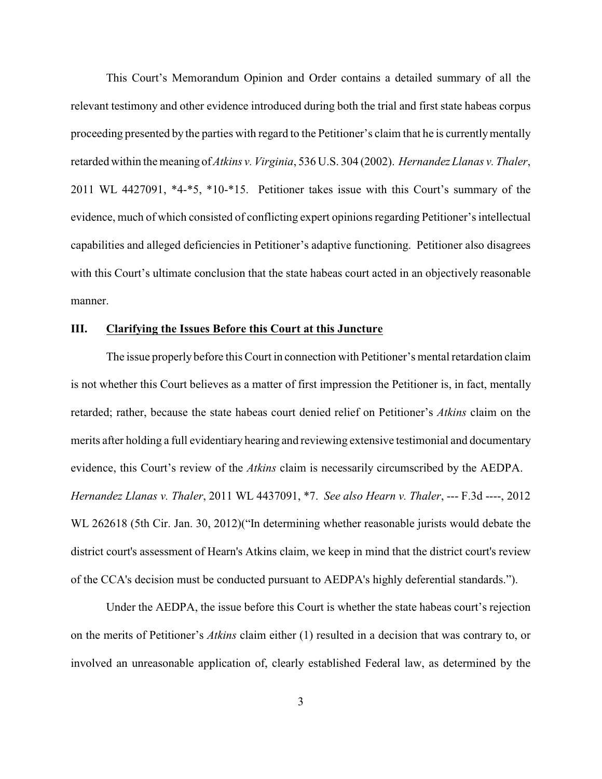This Court's Memorandum Opinion and Order contains a detailed summary of all the relevant testimony and other evidence introduced during both the trial and first state habeas corpus proceeding presented by the parties with regard to the Petitioner's claim that he is currentlymentally retarded within the meaning of *Atkins v. Virginia*, 536 U.S. 304 (2002). *Hernandez Llanas v. Thaler*, 2011 WL 4427091, \*4-\*5, \*10-\*15. Petitioner takes issue with this Court's summary of the evidence, much of which consisted of conflicting expert opinions regarding Petitioner's intellectual capabilities and alleged deficiencies in Petitioner's adaptive functioning. Petitioner also disagrees with this Court's ultimate conclusion that the state habeas court acted in an objectively reasonable manner.

## **III. Clarifying the Issues Before this Court at this Juncture**

The issue properly before this Court in connection with Petitioner's mental retardation claim is not whether this Court believes as a matter of first impression the Petitioner is, in fact, mentally retarded; rather, because the state habeas court denied relief on Petitioner's *Atkins* claim on the merits after holding a full evidentiary hearing and reviewing extensive testimonial and documentary evidence, this Court's review of the *Atkins* claim is necessarily circumscribed by the AEDPA. *Hernandez Llanas v. Thaler*, 2011 WL 4437091, \*7. *See also Hearn v. Thaler*, --- F.3d ----, 2012 WL 262618 (5th Cir. Jan. 30, 2012)("In determining whether reasonable jurists would debate the district court's assessment of Hearn's Atkins claim, we keep in mind that the district court's review of the CCA's decision must be conducted pursuant to AEDPA's highly deferential standards.").

Under the AEDPA, the issue before this Court is whether the state habeas court's rejection on the merits of Petitioner's *Atkins* claim either (1) resulted in a decision that was contrary to, or involved an unreasonable application of, clearly established Federal law, as determined by the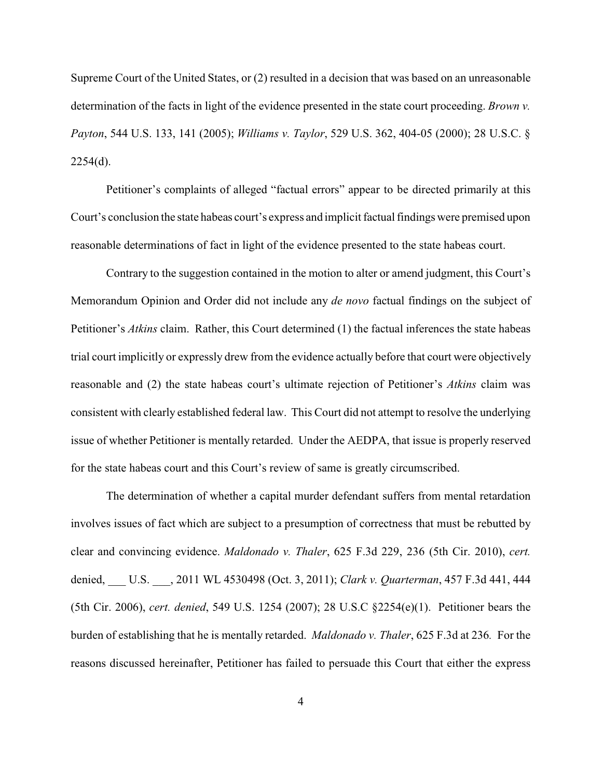Supreme Court of the United States, or (2) resulted in a decision that was based on an unreasonable determination of the facts in light of the evidence presented in the state court proceeding. *Brown v. Payton*, 544 U.S. 133, 141 (2005); *Williams v. Taylor*, 529 U.S. 362, 404-05 (2000); 28 U.S.C. § 2254(d).

Petitioner's complaints of alleged "factual errors" appear to be directed primarily at this Court's conclusion the state habeas court's express and implicit factual findings were premised upon reasonable determinations of fact in light of the evidence presented to the state habeas court.

Contrary to the suggestion contained in the motion to alter or amend judgment, this Court's Memorandum Opinion and Order did not include any *de novo* factual findings on the subject of Petitioner's *Atkins* claim. Rather, this Court determined (1) the factual inferences the state habeas trial court implicitly or expressly drew from the evidence actually before that court were objectively reasonable and (2) the state habeas court's ultimate rejection of Petitioner's *Atkins* claim was consistent with clearly established federal law. This Court did not attempt to resolve the underlying issue of whether Petitioner is mentally retarded. Under the AEDPA, that issue is properly reserved for the state habeas court and this Court's review of same is greatly circumscribed.

The determination of whether a capital murder defendant suffers from mental retardation involves issues of fact which are subject to a presumption of correctness that must be rebutted by clear and convincing evidence. *Maldonado v. Thaler*, 625 F.3d 229, 236 (5th Cir. 2010), *cert.* denied, \_\_\_ U.S. \_\_\_, 2011 WL 4530498 (Oct. 3, 2011); *Clark v. Quarterman*, 457 F.3d 441, 444 (5th Cir. 2006), *cert. denied*, 549 U.S. 1254 (2007); 28 U.S.C §2254(e)(1). Petitioner bears the burden of establishing that he is mentally retarded. *Maldonado v. Thaler*, 625 F.3d at 236*.* For the reasons discussed hereinafter, Petitioner has failed to persuade this Court that either the express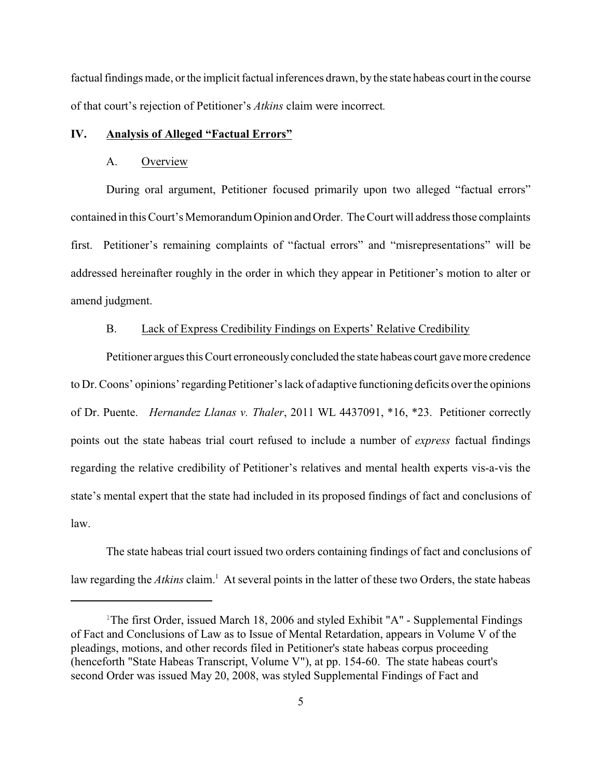factual findings made, or the implicit factual inferences drawn, by the state habeas court in the course of that court's rejection of Petitioner's *Atkins* claim were incorrect*.*

#### **IV. Analysis of Alleged "Factual Errors"**

## A. Overview

During oral argument, Petitioner focused primarily upon two alleged "factual errors" contained in this Court's Memorandum Opinion and Order. The Court will address those complaints first. Petitioner's remaining complaints of "factual errors" and "misrepresentations" will be addressed hereinafter roughly in the order in which they appear in Petitioner's motion to alter or amend judgment.

## B. Lack of Express Credibility Findings on Experts' Relative Credibility

Petitioner argues this Court erroneouslyconcluded the state habeas court gave more credence to Dr. Coons' opinions' regarding Petitioner's lack of adaptive functioning deficits over the opinions of Dr. Puente. *Hernandez Llanas v. Thaler*, 2011 WL 4437091, \*16, \*23. Petitioner correctly points out the state habeas trial court refused to include a number of *express* factual findings regarding the relative credibility of Petitioner's relatives and mental health experts vis-a-vis the state's mental expert that the state had included in its proposed findings of fact and conclusions of law.

The state habeas trial court issued two orders containing findings of fact and conclusions of law regarding the *Atkins* claim.<sup>1</sup> At several points in the latter of these two Orders, the state habeas

<sup>&</sup>lt;sup>1</sup>The first Order, issued March 18, 2006 and styled Exhibit "A" - Supplemental Findings of Fact and Conclusions of Law as to Issue of Mental Retardation, appears in Volume V of the pleadings, motions, and other records filed in Petitioner's state habeas corpus proceeding (henceforth "State Habeas Transcript, Volume V"), at pp. 154-60. The state habeas court's second Order was issued May 20, 2008, was styled Supplemental Findings of Fact and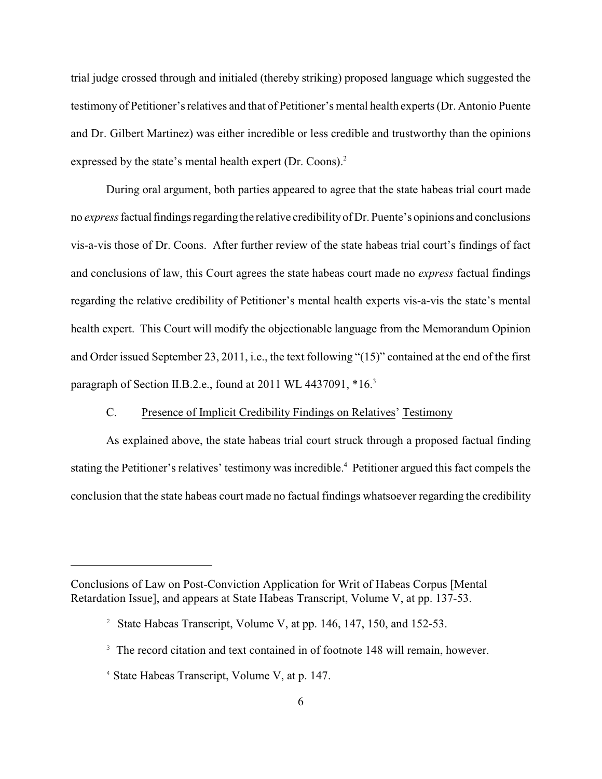trial judge crossed through and initialed (thereby striking) proposed language which suggested the testimony of Petitioner's relatives and that of Petitioner's mental health experts (Dr. Antonio Puente and Dr. Gilbert Martinez) was either incredible or less credible and trustworthy than the opinions expressed by the state's mental health expert (Dr. Coons).<sup>2</sup>

During oral argument, both parties appeared to agree that the state habeas trial court made no *express*factual findings regarding the relative credibilityof Dr. Puente's opinions and conclusions vis-a-vis those of Dr. Coons. After further review of the state habeas trial court's findings of fact and conclusions of law, this Court agrees the state habeas court made no *express* factual findings regarding the relative credibility of Petitioner's mental health experts vis-a-vis the state's mental health expert. This Court will modify the objectionable language from the Memorandum Opinion and Order issued September 23, 2011, i.e., the text following "(15)" contained at the end of the first paragraph of Section II.B.2.e., found at 2011 WL 4437091, \*16.<sup>3</sup>

# C. Presence of Implicit Credibility Findings on Relatives' Testimony

As explained above, the state habeas trial court struck through a proposed factual finding stating the Petitioner's relatives' testimony was incredible.<sup>4</sup> Petitioner argued this fact compels the conclusion that the state habeas court made no factual findings whatsoever regarding the credibility

Conclusions of Law on Post-Conviction Application for Writ of Habeas Corpus [Mental Retardation Issue], and appears at State Habeas Transcript, Volume V, at pp. 137-53.

<sup>&</sup>lt;sup>2</sup> State Habeas Transcript, Volume V, at pp. 146, 147, 150, and 152-53.

<sup>&</sup>lt;sup>3</sup> The record citation and text contained in of footnote 148 will remain, however.

 $4$  State Habeas Transcript, Volume V, at p. 147.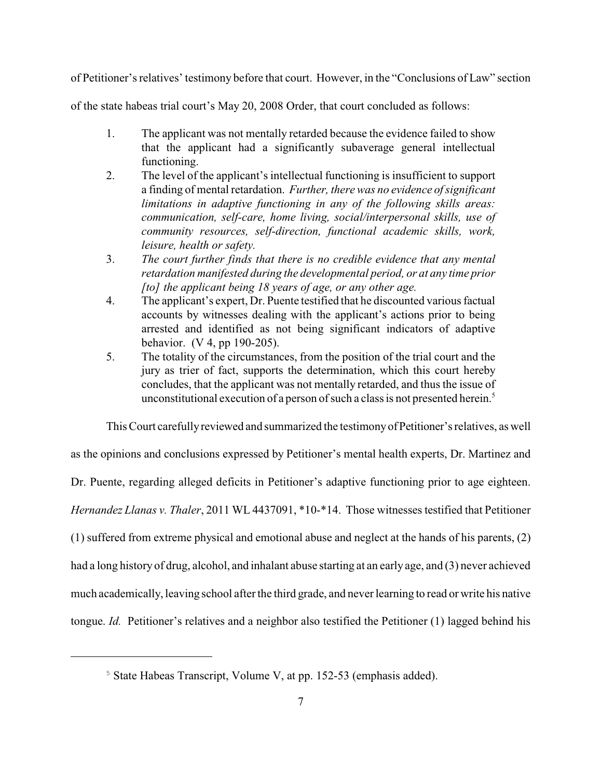of Petitioner's relatives' testimony before that court. However, in the "Conclusions of Law" section

of the state habeas trial court's May 20, 2008 Order, that court concluded as follows:

- 1. The applicant was not mentally retarded because the evidence failed to show that the applicant had a significantly subaverage general intellectual functioning.
- 2. The level of the applicant's intellectual functioning is insufficient to support a finding of mental retardation. *Further, there was no evidence of significant limitations in adaptive functioning in any of the following skills areas: communication, self-care, home living, social/interpersonal skills, use of community resources, self-direction, functional academic skills, work, leisure, health or safety.*
- 3. *The court further finds that there is no credible evidence that any mental retardation manifested during the developmental period, or at any time prior [to] the applicant being 18 years of age, or any other age.*
- 4. The applicant's expert, Dr. Puente testified that he discounted various factual accounts by witnesses dealing with the applicant's actions prior to being arrested and identified as not being significant indicators of adaptive behavior. (V 4, pp 190-205).
- 5. The totality of the circumstances, from the position of the trial court and the jury as trier of fact, supports the determination, which this court hereby concludes, that the applicant was not mentally retarded, and thus the issue of unconstitutional execution of a person of such a class is not presented herein.<sup>5</sup>

This Court carefullyreviewed and summarized the testimonyofPetitioner's relatives, as well

as the opinions and conclusions expressed by Petitioner's mental health experts, Dr. Martinez and Dr. Puente, regarding alleged deficits in Petitioner's adaptive functioning prior to age eighteen. *Hernandez Llanas v. Thaler*, 2011 WL 4437091, \*10-\*14. Those witnesses testified that Petitioner (1) suffered from extreme physical and emotional abuse and neglect at the hands of his parents, (2) had a long history of drug, alcohol, and inhalant abuse starting at an early age, and (3) never achieved much academically, leaving school after the third grade, and neverlearning to read or write his native tongue. *Id.* Petitioner's relatives and a neighbor also testified the Petitioner (1) lagged behind his

 $5$  State Habeas Transcript, Volume V, at pp. 152-53 (emphasis added).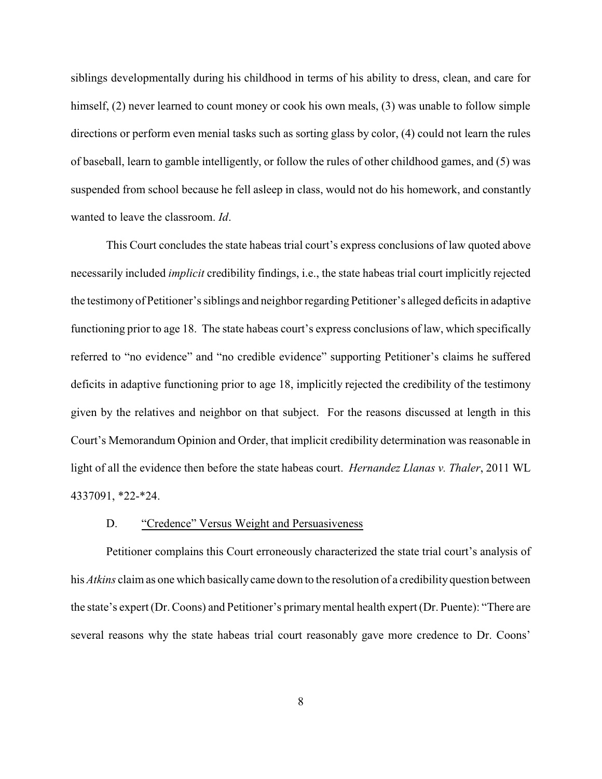siblings developmentally during his childhood in terms of his ability to dress, clean, and care for himself, (2) never learned to count money or cook his own meals, (3) was unable to follow simple directions or perform even menial tasks such as sorting glass by color, (4) could not learn the rules of baseball, learn to gamble intelligently, or follow the rules of other childhood games, and (5) was suspended from school because he fell asleep in class, would not do his homework, and constantly wanted to leave the classroom. *Id*.

This Court concludes the state habeas trial court's express conclusions of law quoted above necessarily included *implicit* credibility findings, i.e., the state habeas trial court implicitly rejected the testimony of Petitioner's siblings and neighbor regarding Petitioner's alleged deficits in adaptive functioning prior to age 18. The state habeas court's express conclusions of law, which specifically referred to "no evidence" and "no credible evidence" supporting Petitioner's claims he suffered deficits in adaptive functioning prior to age 18, implicitly rejected the credibility of the testimony given by the relatives and neighbor on that subject. For the reasons discussed at length in this Court's Memorandum Opinion and Order, that implicit credibility determination was reasonable in light of all the evidence then before the state habeas court. *Hernandez Llanas v. Thaler*, 2011 WL 4337091, \*22-\*24.

#### D. "Credence" Versus Weight and Persuasiveness

Petitioner complains this Court erroneously characterized the state trial court's analysis of his *Atkins* claim as one which basically came down to the resolution of a credibility question between the state's expert (Dr. Coons) and Petitioner's primarymental health expert (Dr. Puente): "There are several reasons why the state habeas trial court reasonably gave more credence to Dr. Coons'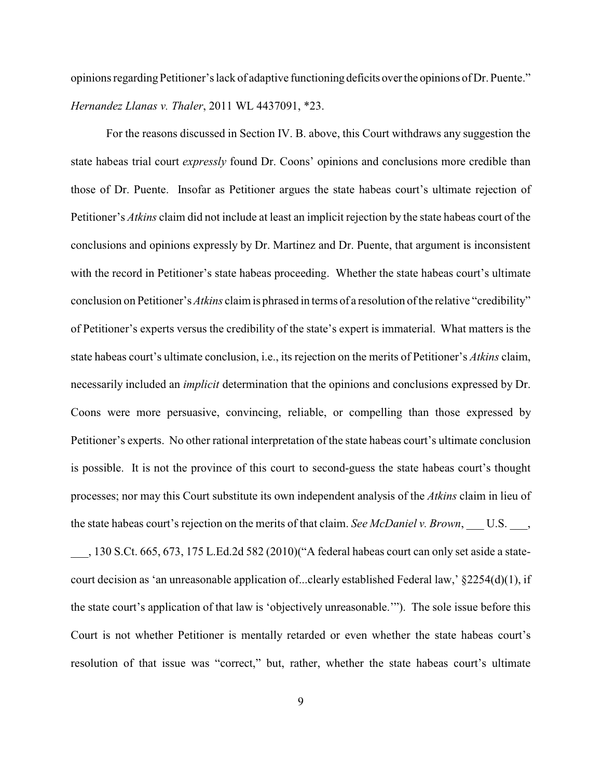opinions regarding Petitioner's lack of adaptive functioning deficits over the opinions of Dr. Puente." *Hernandez Llanas v. Thaler*, 2011 WL 4437091, \*23.

For the reasons discussed in Section IV. B. above, this Court withdraws any suggestion the state habeas trial court *expressly* found Dr. Coons' opinions and conclusions more credible than those of Dr. Puente. Insofar as Petitioner argues the state habeas court's ultimate rejection of Petitioner's *Atkins* claim did not include at least an implicit rejection by the state habeas court of the conclusions and opinions expressly by Dr. Martinez and Dr. Puente, that argument is inconsistent with the record in Petitioner's state habeas proceeding. Whether the state habeas court's ultimate conclusion on Petitioner's *Atkins* claim is phrased in terms of a resolution of the relative "credibility" of Petitioner's experts versus the credibility of the state's expert is immaterial. What matters is the state habeas court's ultimate conclusion, i.e., its rejection on the merits of Petitioner's *Atkins* claim, necessarily included an *implicit* determination that the opinions and conclusions expressed by Dr. Coons were more persuasive, convincing, reliable, or compelling than those expressed by Petitioner's experts. No other rational interpretation of the state habeas court's ultimate conclusion is possible. It is not the province of this court to second-guess the state habeas court's thought processes; nor may this Court substitute its own independent analysis of the *Atkins* claim in lieu of the state habeas court's rejection on the merits of that claim. *See McDaniel v. Brown*, \_\_\_ U.S. \_\_\_,

\_\_\_, 130 S.Ct. 665, 673, 175 L.Ed.2d 582 (2010)("A federal habeas court can only set aside a statecourt decision as 'an unreasonable application of...clearly established Federal law,' §2254(d)(1), if the state court's application of that law is 'objectively unreasonable.'"). The sole issue before this Court is not whether Petitioner is mentally retarded or even whether the state habeas court's resolution of that issue was "correct," but, rather, whether the state habeas court's ultimate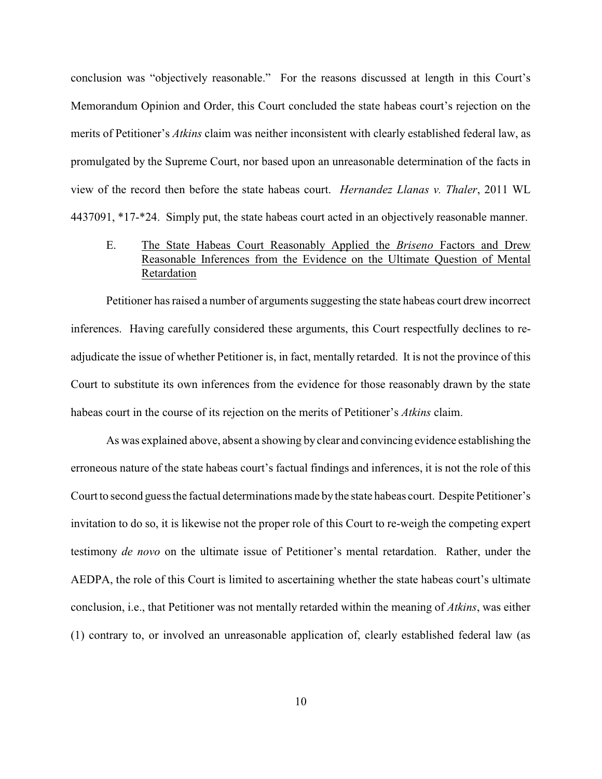conclusion was "objectively reasonable." For the reasons discussed at length in this Court's Memorandum Opinion and Order, this Court concluded the state habeas court's rejection on the merits of Petitioner's *Atkins* claim was neither inconsistent with clearly established federal law, as promulgated by the Supreme Court, nor based upon an unreasonable determination of the facts in view of the record then before the state habeas court. *Hernandez Llanas v. Thaler*, 2011 WL 4437091, \*17-\*24. Simply put, the state habeas court acted in an objectively reasonable manner.

# E. The State Habeas Court Reasonably Applied the *Briseno* Factors and Drew Reasonable Inferences from the Evidence on the Ultimate Question of Mental Retardation

Petitioner has raised a number of arguments suggesting the state habeas court drew incorrect inferences. Having carefully considered these arguments, this Court respectfully declines to readjudicate the issue of whether Petitioner is, in fact, mentally retarded. It is not the province of this Court to substitute its own inferences from the evidence for those reasonably drawn by the state habeas court in the course of its rejection on the merits of Petitioner's *Atkins* claim.

As was explained above, absent a showing by clear and convincing evidence establishing the erroneous nature of the state habeas court's factual findings and inferences, it is not the role of this Court to second guess the factual determinations made bythe state habeas court. Despite Petitioner's invitation to do so, it is likewise not the proper role of this Court to re-weigh the competing expert testimony *de novo* on the ultimate issue of Petitioner's mental retardation. Rather, under the AEDPA, the role of this Court is limited to ascertaining whether the state habeas court's ultimate conclusion, i.e., that Petitioner was not mentally retarded within the meaning of *Atkins*, was either (1) contrary to, or involved an unreasonable application of, clearly established federal law (as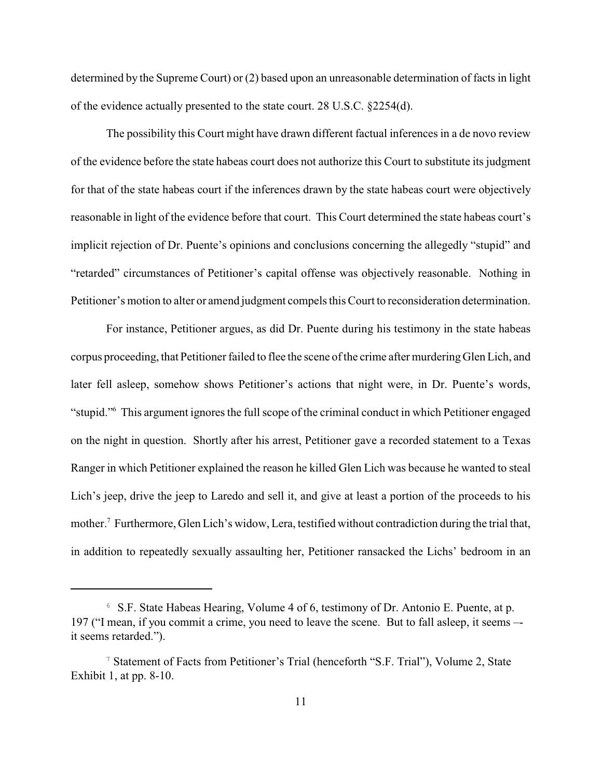determined by the Supreme Court) or (2) based upon an unreasonable determination of facts in light of the evidence actually presented to the state court. 28 U.S.C. §2254(d).

The possibility this Court might have drawn different factual inferences in a de novo review of the evidence before the state habeas court does not authorize this Court to substitute its judgment for that of the state habeas court if the inferences drawn by the state habeas court were objectively reasonable in light of the evidence before that court. This Court determined the state habeas court's implicit rejection of Dr. Puente's opinions and conclusions concerning the allegedly "stupid" and "retarded" circumstances of Petitioner's capital offense was objectively reasonable. Nothing in Petitioner's motion to alter or amend judgment compels this Court to reconsideration determination.

For instance, Petitioner argues, as did Dr. Puente during his testimony in the state habeas corpus proceeding, that Petitioner failed to flee the scene of the crime after murderingGlen Lich, and later fell asleep, somehow shows Petitioner's actions that night were, in Dr. Puente's words, "stupid." This argument ignores the full scope of the criminal conduct in which Petitioner engaged on the night in question. Shortly after his arrest, Petitioner gave a recorded statement to a Texas Ranger in which Petitioner explained the reason he killed Glen Lich was because he wanted to steal Lich's jeep, drive the jeep to Laredo and sell it, and give at least a portion of the proceeds to his mother.<sup>7</sup> Furthermore, Glen Lich's widow, Lera, testified without contradiction during the trial that, in addition to repeatedly sexually assaulting her, Petitioner ransacked the Lichs' bedroom in an

 $6$  S.F. State Habeas Hearing, Volume 4 of 6, testimony of Dr. Antonio E. Puente, at p. 197 ("I mean, if you commit a crime, you need to leave the scene. But to fall asleep, it seems – it seems retarded.").

<sup>&</sup>lt;sup>7</sup> Statement of Facts from Petitioner's Trial (henceforth "S.F. Trial"), Volume 2, State Exhibit 1, at pp. 8-10.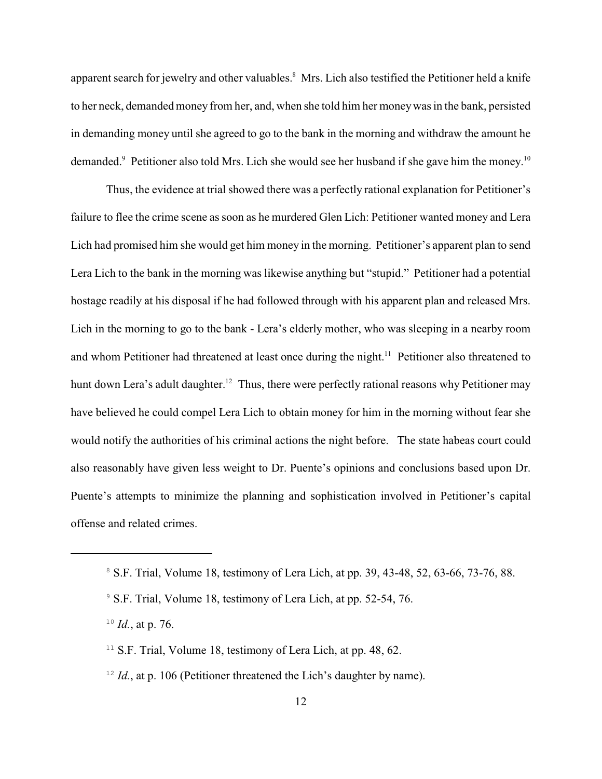apparent search for jewelry and other valuables.<sup>8</sup> Mrs. Lich also testified the Petitioner held a knife to her neck, demanded money from her, and, when she told him her moneywas in the bank, persisted in demanding money until she agreed to go to the bank in the morning and withdraw the amount he demanded.<sup>9</sup> Petitioner also told Mrs. Lich she would see her husband if she gave him the money.<sup>10</sup>

Thus, the evidence at trial showed there was a perfectly rational explanation for Petitioner's failure to flee the crime scene as soon as he murdered Glen Lich: Petitioner wanted money and Lera Lich had promised him she would get him money in the morning. Petitioner's apparent plan to send Lera Lich to the bank in the morning was likewise anything but "stupid." Petitioner had a potential hostage readily at his disposal if he had followed through with his apparent plan and released Mrs. Lich in the morning to go to the bank - Lera's elderly mother, who was sleeping in a nearby room and whom Petitioner had threatened at least once during the night.<sup>11</sup> Petitioner also threatened to hunt down Lera's adult daughter.<sup>12</sup> Thus, there were perfectly rational reasons why Petitioner may have believed he could compel Lera Lich to obtain money for him in the morning without fear she would notify the authorities of his criminal actions the night before. The state habeas court could also reasonably have given less weight to Dr. Puente's opinions and conclusions based upon Dr. Puente's attempts to minimize the planning and sophistication involved in Petitioner's capital offense and related crimes.

- <sup>11</sup> S.F. Trial, Volume 18, testimony of Lera Lich, at pp. 48, 62.
- $I<sup>2</sup> Id.$ , at p. 106 (Petitioner threatened the Lich's daughter by name).

<sup>&</sup>lt;sup>8</sup> S.F. Trial, Volume 18, testimony of Lera Lich, at pp. 39, 43-48, 52, 63-66, 73-76, 88.

<sup>&</sup>lt;sup>9</sup> S.F. Trial, Volume 18, testimony of Lera Lich, at pp. 52-54, 76.

 $^{10}$  *Id.*, at p. 76.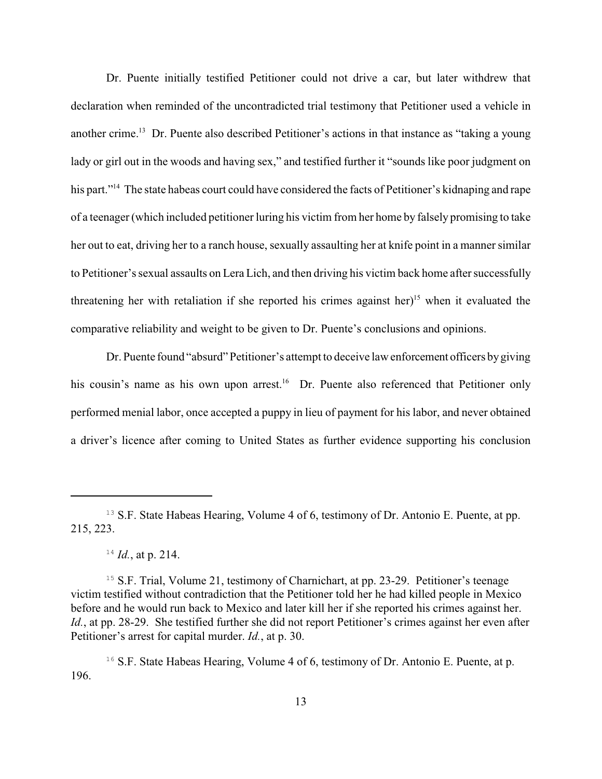Dr. Puente initially testified Petitioner could not drive a car, but later withdrew that declaration when reminded of the uncontradicted trial testimony that Petitioner used a vehicle in another crime.<sup>13</sup> Dr. Puente also described Petitioner's actions in that instance as "taking a young lady or girl out in the woods and having sex," and testified further it "sounds like poor judgment on his part."<sup>14</sup> The state habeas court could have considered the facts of Petitioner's kidnaping and rape of a teenager (which included petitioner luring his victim from her home by falsely promising to take her out to eat, driving her to a ranch house, sexually assaulting her at knife point in a manner similar to Petitioner's sexual assaults on Lera Lich, and then driving his victim back home after successfully threatening her with retaliation if she reported his crimes against her)<sup>15</sup> when it evaluated the comparative reliability and weight to be given to Dr. Puente's conclusions and opinions.

Dr. Puente found "absurd" Petitioner's attempt to deceive law enforcement officers bygiving his cousin's name as his own upon arrest.<sup>16</sup> Dr. Puente also referenced that Petitioner only performed menial labor, once accepted a puppy in lieu of payment for his labor, and never obtained a driver's licence after coming to United States as further evidence supporting his conclusion

<sup>&</sup>lt;sup>13</sup> S.F. State Habeas Hearing, Volume 4 of 6, testimony of Dr. Antonio E. Puente, at pp. 215, 223.

 $^{14}$  *Id.*, at p. 214.

<sup>&</sup>lt;sup>15</sup> S.F. Trial, Volume 21, testimony of Charnichart, at pp. 23-29. Petitioner's teenage victim testified without contradiction that the Petitioner told her he had killed people in Mexico before and he would run back to Mexico and later kill her if she reported his crimes against her. *Id.*, at pp. 28-29. She testified further she did not report Petitioner's crimes against her even after Petitioner's arrest for capital murder. *Id.*, at p. 30.

<sup>&</sup>lt;sup>16</sup> S.F. State Habeas Hearing, Volume 4 of 6, testimony of Dr. Antonio E. Puente, at p. 196.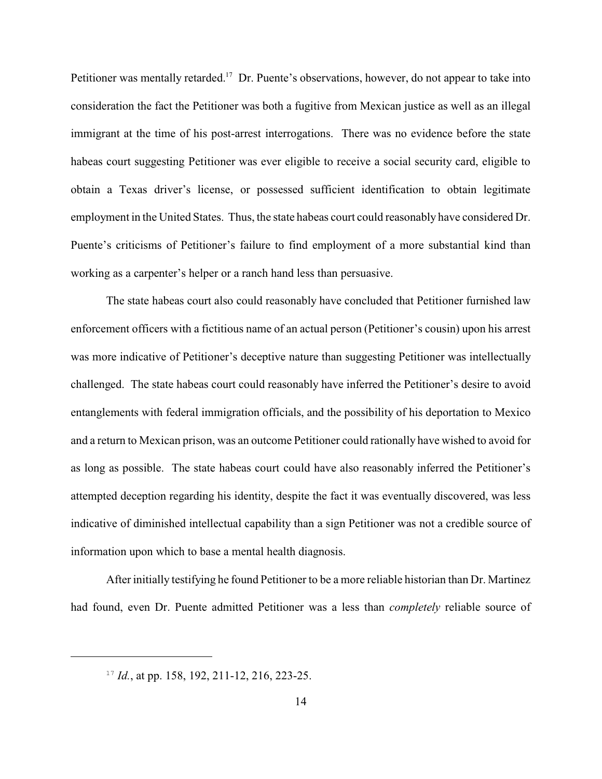Petitioner was mentally retarded.<sup>17</sup> Dr. Puente's observations, however, do not appear to take into consideration the fact the Petitioner was both a fugitive from Mexican justice as well as an illegal immigrant at the time of his post-arrest interrogations. There was no evidence before the state habeas court suggesting Petitioner was ever eligible to receive a social security card, eligible to obtain a Texas driver's license, or possessed sufficient identification to obtain legitimate employment in the United States. Thus, the state habeas court could reasonably have considered Dr. Puente's criticisms of Petitioner's failure to find employment of a more substantial kind than working as a carpenter's helper or a ranch hand less than persuasive.

The state habeas court also could reasonably have concluded that Petitioner furnished law enforcement officers with a fictitious name of an actual person (Petitioner's cousin) upon his arrest was more indicative of Petitioner's deceptive nature than suggesting Petitioner was intellectually challenged. The state habeas court could reasonably have inferred the Petitioner's desire to avoid entanglements with federal immigration officials, and the possibility of his deportation to Mexico and a return to Mexican prison, was an outcome Petitioner could rationally have wished to avoid for as long as possible. The state habeas court could have also reasonably inferred the Petitioner's attempted deception regarding his identity, despite the fact it was eventually discovered, was less indicative of diminished intellectual capability than a sign Petitioner was not a credible source of information upon which to base a mental health diagnosis.

After initially testifying he found Petitioner to be a more reliable historian than Dr. Martinez had found, even Dr. Puente admitted Petitioner was a less than *completely* reliable source of

 $^{17}$  *Id.*, at pp. 158, 192, 211-12, 216, 223-25.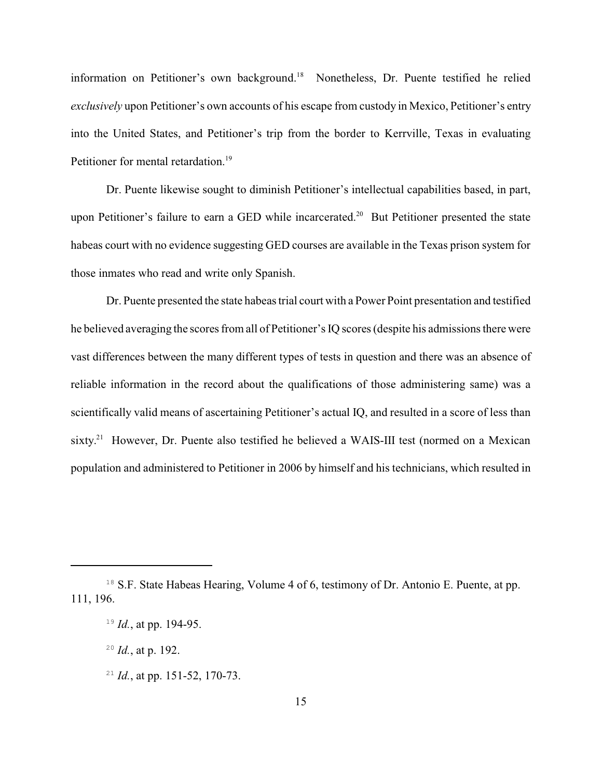information on Petitioner's own background.<sup>18</sup> Nonetheless, Dr. Puente testified he relied *exclusively* upon Petitioner's own accounts of his escape from custody in Mexico, Petitioner's entry into the United States, and Petitioner's trip from the border to Kerrville, Texas in evaluating Petitioner for mental retardation.<sup>19</sup>

Dr. Puente likewise sought to diminish Petitioner's intellectual capabilities based, in part, upon Petitioner's failure to earn a GED while incarcerated.<sup>20</sup> But Petitioner presented the state habeas court with no evidence suggesting GED courses are available in the Texas prison system for those inmates who read and write only Spanish.

Dr. Puente presented the state habeas trial court with a Power Point presentation and testified he believed averaging the scores from all of Petitioner's IQ scores (despite his admissions there were vast differences between the many different types of tests in question and there was an absence of reliable information in the record about the qualifications of those administering same) was a scientifically valid means of ascertaining Petitioner's actual IQ, and resulted in a score of less than sixty.<sup>21</sup> However, Dr. Puente also testified he believed a WAIS-III test (normed on a Mexican population and administered to Petitioner in 2006 by himself and his technicians, which resulted in

<sup>21</sup> *Id.*, at pp. 151-52, 170-73.

<sup>&</sup>lt;sup>18</sup> S.F. State Habeas Hearing, Volume 4 of 6, testimony of Dr. Antonio E. Puente, at pp. 111, 196.

<sup>&</sup>lt;sup>19</sup> *Id.*, at pp. 194-95.

 $^{20}$  *Id.*, at p. 192.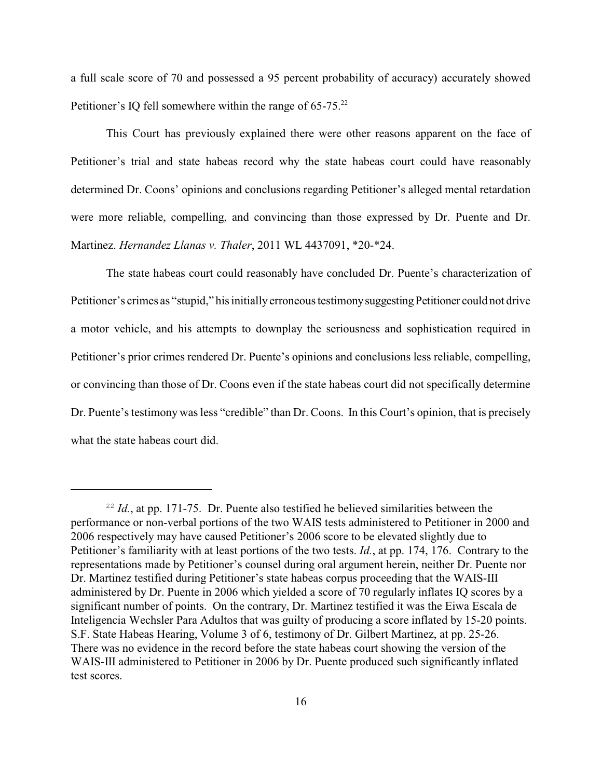a full scale score of 70 and possessed a 95 percent probability of accuracy) accurately showed Petitioner's IQ fell somewhere within the range of 65-75.<sup>22</sup>

This Court has previously explained there were other reasons apparent on the face of Petitioner's trial and state habeas record why the state habeas court could have reasonably determined Dr. Coons' opinions and conclusions regarding Petitioner's alleged mental retardation were more reliable, compelling, and convincing than those expressed by Dr. Puente and Dr. Martinez. *Hernandez Llanas v. Thaler*, 2011 WL 4437091, \*20-\*24.

The state habeas court could reasonably have concluded Dr. Puente's characterization of Petitioner's crimes as "stupid," his initially erroneous testimony suggesting Petitioner could not drive a motor vehicle, and his attempts to downplay the seriousness and sophistication required in Petitioner's prior crimes rendered Dr. Puente's opinions and conclusions less reliable, compelling, or convincing than those of Dr. Coons even if the state habeas court did not specifically determine Dr. Puente's testimony was less "credible" than Dr. Coons. In this Court's opinion, that is precisely what the state habeas court did.

 $I<sup>22</sup> Id.$ , at pp. 171-75. Dr. Puente also testified he believed similarities between the performance or non-verbal portions of the two WAIS tests administered to Petitioner in 2000 and 2006 respectively may have caused Petitioner's 2006 score to be elevated slightly due to Petitioner's familiarity with at least portions of the two tests. *Id.*, at pp. 174, 176. Contrary to the representations made by Petitioner's counsel during oral argument herein, neither Dr. Puente nor Dr. Martinez testified during Petitioner's state habeas corpus proceeding that the WAIS-III administered by Dr. Puente in 2006 which yielded a score of 70 regularly inflates IQ scores by a significant number of points. On the contrary, Dr. Martinez testified it was the Eiwa Escala de Inteligencia Wechsler Para Adultos that was guilty of producing a score inflated by 15-20 points. S.F. State Habeas Hearing, Volume 3 of 6, testimony of Dr. Gilbert Martinez, at pp. 25-26. There was no evidence in the record before the state habeas court showing the version of the WAIS-III administered to Petitioner in 2006 by Dr. Puente produced such significantly inflated test scores.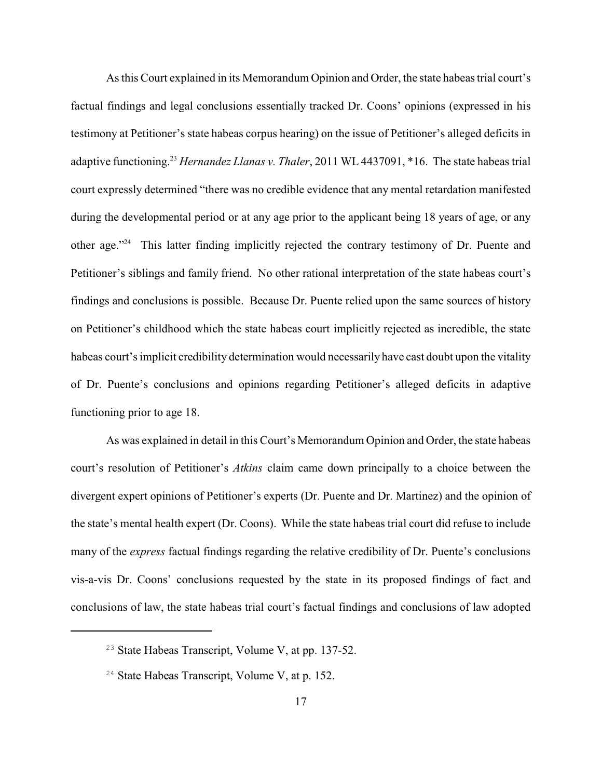As this Court explained in its Memorandum Opinion and Order, the state habeas trial court's factual findings and legal conclusions essentially tracked Dr. Coons' opinions (expressed in his testimony at Petitioner's state habeas corpus hearing) on the issue of Petitioner's alleged deficits in adaptive functioning.<sup>23</sup> Hernandez Llanas v. Thaler, 2011 WL 4437091, \*16. The state habeas trial court expressly determined "there was no credible evidence that any mental retardation manifested during the developmental period or at any age prior to the applicant being 18 years of age, or any other age."<sup>24</sup> This latter finding implicitly rejected the contrary testimony of Dr. Puente and Petitioner's siblings and family friend. No other rational interpretation of the state habeas court's findings and conclusions is possible. Because Dr. Puente relied upon the same sources of history on Petitioner's childhood which the state habeas court implicitly rejected as incredible, the state habeas court's implicit credibility determination would necessarily have cast doubt upon the vitality of Dr. Puente's conclusions and opinions regarding Petitioner's alleged deficits in adaptive functioning prior to age 18.

As was explained in detail in this Court's Memorandum Opinion and Order, the state habeas court's resolution of Petitioner's *Atkins* claim came down principally to a choice between the divergent expert opinions of Petitioner's experts (Dr. Puente and Dr. Martinez) and the opinion of the state's mental health expert (Dr. Coons). While the state habeas trial court did refuse to include many of the *express* factual findings regarding the relative credibility of Dr. Puente's conclusions vis-a-vis Dr. Coons' conclusions requested by the state in its proposed findings of fact and conclusions of law, the state habeas trial court's factual findings and conclusions of law adopted

 $23$  State Habeas Transcript, Volume V, at pp. 137-52.

 $24$  State Habeas Transcript, Volume V, at p. 152.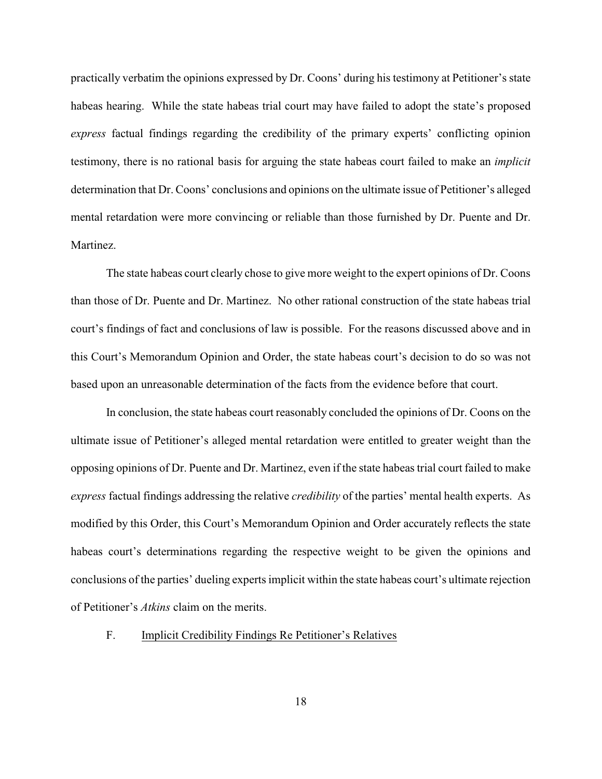practically verbatim the opinions expressed by Dr. Coons' during his testimony at Petitioner's state habeas hearing. While the state habeas trial court may have failed to adopt the state's proposed *express* factual findings regarding the credibility of the primary experts' conflicting opinion testimony, there is no rational basis for arguing the state habeas court failed to make an *implicit* determination that Dr. Coons' conclusions and opinions on the ultimate issue of Petitioner's alleged mental retardation were more convincing or reliable than those furnished by Dr. Puente and Dr. Martinez.

The state habeas court clearly chose to give more weight to the expert opinions of Dr. Coons than those of Dr. Puente and Dr. Martinez. No other rational construction of the state habeas trial court's findings of fact and conclusions of law is possible. For the reasons discussed above and in this Court's Memorandum Opinion and Order, the state habeas court's decision to do so was not based upon an unreasonable determination of the facts from the evidence before that court.

In conclusion, the state habeas court reasonably concluded the opinions of Dr. Coons on the ultimate issue of Petitioner's alleged mental retardation were entitled to greater weight than the opposing opinions of Dr. Puente and Dr. Martinez, even if the state habeas trial court failed to make *express* factual findings addressing the relative *credibility* of the parties' mental health experts. As modified by this Order, this Court's Memorandum Opinion and Order accurately reflects the state habeas court's determinations regarding the respective weight to be given the opinions and conclusions of the parties' dueling experts implicit within the state habeas court's ultimate rejection of Petitioner's *Atkins* claim on the merits.

# F. Implicit Credibility Findings Re Petitioner's Relatives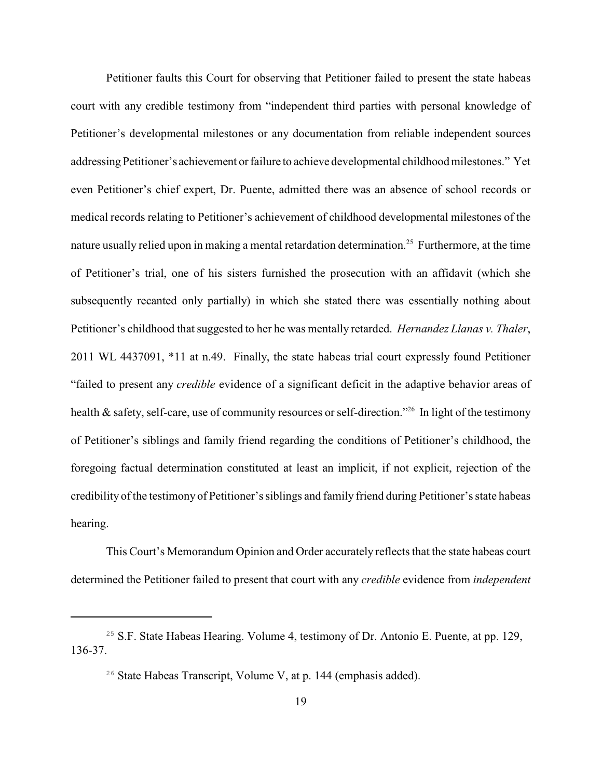Petitioner faults this Court for observing that Petitioner failed to present the state habeas court with any credible testimony from "independent third parties with personal knowledge of Petitioner's developmental milestones or any documentation from reliable independent sources addressing Petitioner's achievement or failure to achieve developmental childhood milestones." Yet even Petitioner's chief expert, Dr. Puente, admitted there was an absence of school records or medical records relating to Petitioner's achievement of childhood developmental milestones of the nature usually relied upon in making a mental retardation determination.<sup>25</sup> Furthermore, at the time of Petitioner's trial, one of his sisters furnished the prosecution with an affidavit (which she subsequently recanted only partially) in which she stated there was essentially nothing about Petitioner's childhood that suggested to her he was mentally retarded. *Hernandez Llanas v. Thaler*, 2011 WL 4437091, \*11 at n.49. Finally, the state habeas trial court expressly found Petitioner "failed to present any *credible* evidence of a significant deficit in the adaptive behavior areas of health  $\&$  safety, self-care, use of community resources or self-direction." In light of the testimony of Petitioner's siblings and family friend regarding the conditions of Petitioner's childhood, the foregoing factual determination constituted at least an implicit, if not explicit, rejection of the credibility of the testimony of Petitioner's siblings and family friend during Petitioner's state habeas hearing.

This Court's Memorandum Opinion and Order accurately reflects that the state habeas court determined the Petitioner failed to present that court with any *credible* evidence from *independent*

<sup>&</sup>lt;sup>25</sup> S.F. State Habeas Hearing. Volume 4, testimony of Dr. Antonio E. Puente, at pp. 129, 136-37.

 $26$  State Habeas Transcript, Volume V, at p. 144 (emphasis added).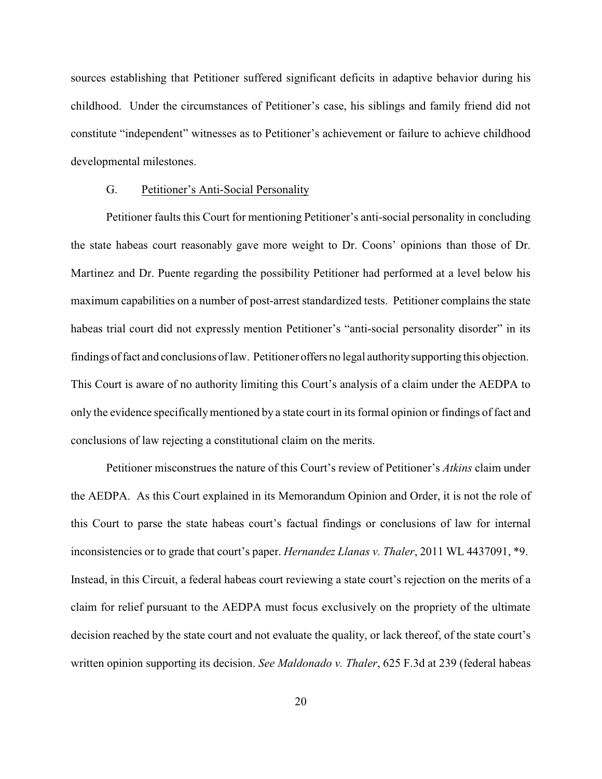sources establishing that Petitioner suffered significant deficits in adaptive behavior during his childhood. Under the circumstances of Petitioner's case, his siblings and family friend did not constitute "independent" witnesses as to Petitioner's achievement or failure to achieve childhood developmental milestones.

#### G. Petitioner's Anti-Social Personality

Petitioner faults this Court for mentioning Petitioner's anti-social personality in concluding the state habeas court reasonably gave more weight to Dr. Coons' opinions than those of Dr. Martinez and Dr. Puente regarding the possibility Petitioner had performed at a level below his maximum capabilities on a number of post-arrest standardized tests. Petitioner complains the state habeas trial court did not expressly mention Petitioner's "anti-social personality disorder" in its findings of fact and conclusions of law. Petitioner offers no legal authoritysupporting this objection. This Court is aware of no authority limiting this Court's analysis of a claim under the AEDPA to only the evidence specificallymentioned by a state court in its formal opinion or findings of fact and conclusions of law rejecting a constitutional claim on the merits.

Petitioner misconstrues the nature of this Court's review of Petitioner's *Atkins* claim under the AEDPA. As this Court explained in its Memorandum Opinion and Order, it is not the role of this Court to parse the state habeas court's factual findings or conclusions of law for internal inconsistencies or to grade that court's paper. *Hernandez Llanas v. Thaler*, 2011 WL 4437091, \*9. Instead, in this Circuit, a federal habeas court reviewing a state court's rejection on the merits of a claim for relief pursuant to the AEDPA must focus exclusively on the propriety of the ultimate decision reached by the state court and not evaluate the quality, or lack thereof, of the state court's written opinion supporting its decision. *See Maldonado v. Thaler*, 625 F.3d at 239 (federal habeas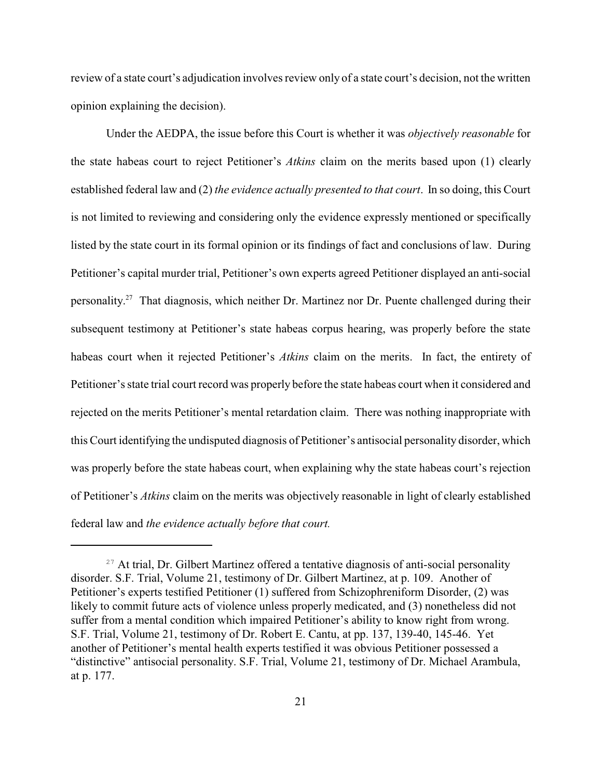review of a state court's adjudication involves review only of a state court's decision, not the written opinion explaining the decision).

Under the AEDPA, the issue before this Court is whether it was *objectively reasonable* for the state habeas court to reject Petitioner's *Atkins* claim on the merits based upon (1) clearly established federal law and (2) *the evidence actually presented to that court*. In so doing, this Court is not limited to reviewing and considering only the evidence expressly mentioned or specifically listed by the state court in its formal opinion or its findings of fact and conclusions of law. During Petitioner's capital murder trial, Petitioner's own experts agreed Petitioner displayed an anti-social personality.<sup>27</sup> That diagnosis, which neither Dr. Martinez nor Dr. Puente challenged during their subsequent testimony at Petitioner's state habeas corpus hearing, was properly before the state habeas court when it rejected Petitioner's *Atkins* claim on the merits. In fact, the entirety of Petitioner's state trial court record was properly before the state habeas court when it considered and rejected on the merits Petitioner's mental retardation claim. There was nothing inappropriate with this Court identifying the undisputed diagnosis of Petitioner's antisocial personality disorder, which was properly before the state habeas court, when explaining why the state habeas court's rejection of Petitioner's *Atkins* claim on the merits was objectively reasonable in light of clearly established federal law and *the evidence actually before that court.*

 $27$  At trial, Dr. Gilbert Martinez offered a tentative diagnosis of anti-social personality disorder. S.F. Trial, Volume 21, testimony of Dr. Gilbert Martinez, at p. 109. Another of Petitioner's experts testified Petitioner (1) suffered from Schizophreniform Disorder, (2) was likely to commit future acts of violence unless properly medicated, and (3) nonetheless did not suffer from a mental condition which impaired Petitioner's ability to know right from wrong. S.F. Trial, Volume 21, testimony of Dr. Robert E. Cantu, at pp. 137, 139-40, 145-46. Yet another of Petitioner's mental health experts testified it was obvious Petitioner possessed a "distinctive" antisocial personality. S.F. Trial, Volume 21, testimony of Dr. Michael Arambula, at p. 177.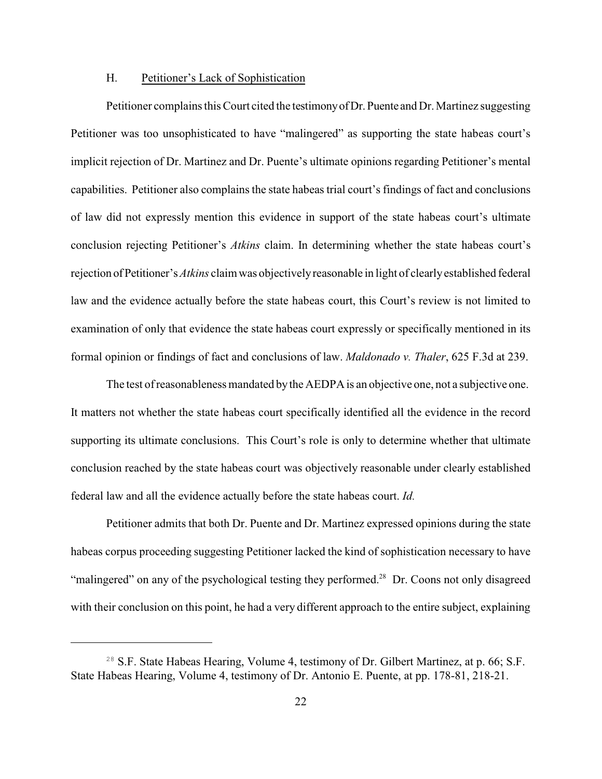## H. Petitioner's Lack of Sophistication

Petitioner complains this Court cited the testimonyofDr. Puente and Dr. Martinez suggesting Petitioner was too unsophisticated to have "malingered" as supporting the state habeas court's implicit rejection of Dr. Martinez and Dr. Puente's ultimate opinions regarding Petitioner's mental capabilities. Petitioner also complains the state habeas trial court's findings of fact and conclusions of law did not expressly mention this evidence in support of the state habeas court's ultimate conclusion rejecting Petitioner's *Atkins* claim. In determining whether the state habeas court's rejection ofPetitioner's *Atkins* claim was objectivelyreasonable in light of clearlyestablished federal law and the evidence actually before the state habeas court, this Court's review is not limited to examination of only that evidence the state habeas court expressly or specifically mentioned in its formal opinion or findings of fact and conclusions of law. *Maldonado v. Thaler*, 625 F.3d at 239.

The test of reasonableness mandated bythe AEDPA is an objective one, not a subjective one. It matters not whether the state habeas court specifically identified all the evidence in the record supporting its ultimate conclusions. This Court's role is only to determine whether that ultimate conclusion reached by the state habeas court was objectively reasonable under clearly established federal law and all the evidence actually before the state habeas court. *Id.*

Petitioner admits that both Dr. Puente and Dr. Martinez expressed opinions during the state habeas corpus proceeding suggesting Petitioner lacked the kind of sophistication necessary to have "malingered" on any of the psychological testing they performed.<sup>28</sup> Dr. Coons not only disagreed with their conclusion on this point, he had a very different approach to the entire subject, explaining

<sup>&</sup>lt;sup>28</sup> S.F. State Habeas Hearing, Volume 4, testimony of Dr. Gilbert Martinez, at p. 66; S.F. State Habeas Hearing, Volume 4, testimony of Dr. Antonio E. Puente, at pp. 178-81, 218-21.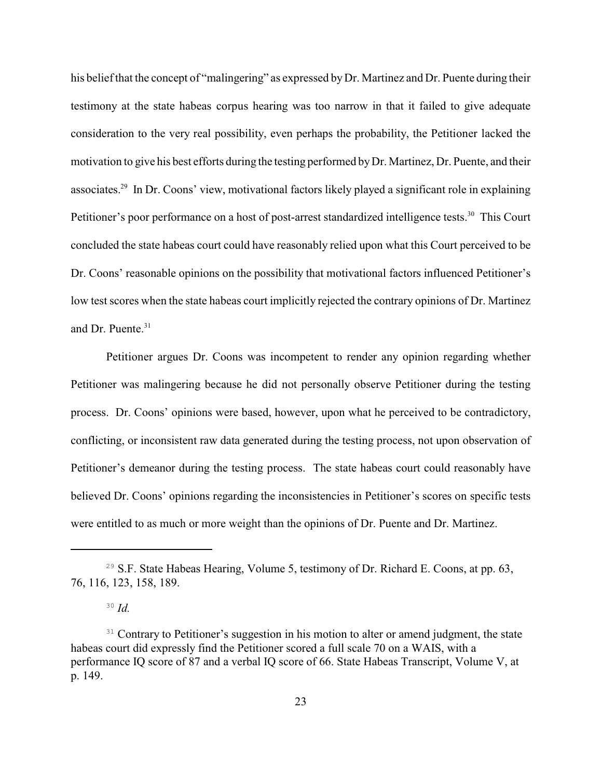his belief that the concept of "malingering" as expressed by Dr. Martinez and Dr. Puente during their testimony at the state habeas corpus hearing was too narrow in that it failed to give adequate consideration to the very real possibility, even perhaps the probability, the Petitioner lacked the motivation to give his best efforts during the testing performed byDr. Martinez, Dr. Puente, and their associates.<sup>29</sup> In Dr. Coons' view, motivational factors likely played a significant role in explaining Petitioner's poor performance on a host of post-arrest standardized intelligence tests.<sup>30</sup> This Court concluded the state habeas court could have reasonably relied upon what this Court perceived to be Dr. Coons' reasonable opinions on the possibility that motivational factors influenced Petitioner's low test scores when the state habeas court implicitly rejected the contrary opinions of Dr. Martinez and Dr. Puente.<sup>31</sup>

Petitioner argues Dr. Coons was incompetent to render any opinion regarding whether Petitioner was malingering because he did not personally observe Petitioner during the testing process. Dr. Coons' opinions were based, however, upon what he perceived to be contradictory, conflicting, or inconsistent raw data generated during the testing process, not upon observation of Petitioner's demeanor during the testing process. The state habeas court could reasonably have believed Dr. Coons' opinions regarding the inconsistencies in Petitioner's scores on specific tests were entitled to as much or more weight than the opinions of Dr. Puente and Dr. Martinez.

<sup>&</sup>lt;sup>29</sup> S.F. State Habeas Hearing, Volume 5, testimony of Dr. Richard E. Coons, at pp. 63, 76, 116, 123, 158, 189.

 $30$  *Id.* 

<sup>&</sup>lt;sup>31</sup> Contrary to Petitioner's suggestion in his motion to alter or amend judgment, the state habeas court did expressly find the Petitioner scored a full scale 70 on a WAIS, with a performance IQ score of 87 and a verbal IQ score of 66. State Habeas Transcript, Volume V, at p. 149.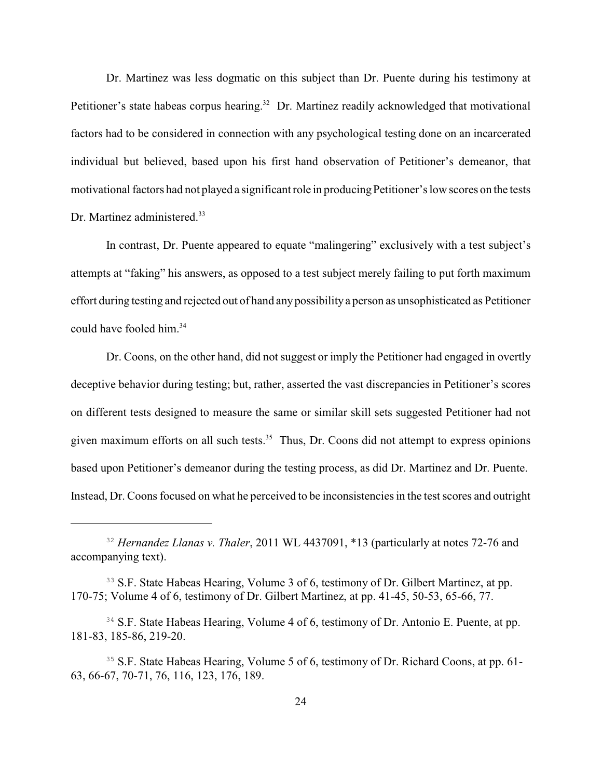Dr. Martinez was less dogmatic on this subject than Dr. Puente during his testimony at Petitioner's state habeas corpus hearing.<sup>32</sup> Dr. Martinez readily acknowledged that motivational factors had to be considered in connection with any psychological testing done on an incarcerated individual but believed, based upon his first hand observation of Petitioner's demeanor, that motivational factors had not played a significant role in producing Petitioner's low scores on the tests Dr. Martinez administered.<sup>33</sup>

In contrast, Dr. Puente appeared to equate "malingering" exclusively with a test subject's attempts at "faking" his answers, as opposed to a test subject merely failing to put forth maximum effort during testing and rejected out of hand any possibilitya person as unsophisticated as Petitioner could have fooled him.<sup>34</sup>

Dr. Coons, on the other hand, did not suggest or imply the Petitioner had engaged in overtly deceptive behavior during testing; but, rather, asserted the vast discrepancies in Petitioner's scores on different tests designed to measure the same or similar skill sets suggested Petitioner had not given maximum efforts on all such tests. $35$  Thus, Dr. Coons did not attempt to express opinions based upon Petitioner's demeanor during the testing process, as did Dr. Martinez and Dr. Puente. Instead, Dr. Coons focused on what he perceived to be inconsistencies in the test scores and outright

<sup>&</sup>lt;sup>32</sup> Hernandez Llanas v. Thaler, 2011 WL 4437091, \*13 (particularly at notes 72-76 and accompanying text).

<sup>&</sup>lt;sup>33</sup> S.F. State Habeas Hearing, Volume 3 of 6, testimony of Dr. Gilbert Martinez, at pp. 170-75; Volume 4 of 6, testimony of Dr. Gilbert Martinez, at pp. 41-45, 50-53, 65-66, 77.

<sup>&</sup>lt;sup>34</sup> S.F. State Habeas Hearing, Volume 4 of 6, testimony of Dr. Antonio E. Puente, at pp. 181-83, 185-86, 219-20.

<sup>&</sup>lt;sup>35</sup> S.F. State Habeas Hearing, Volume 5 of 6, testimony of Dr. Richard Coons, at pp. 61-63, 66-67, 70-71, 76, 116, 123, 176, 189.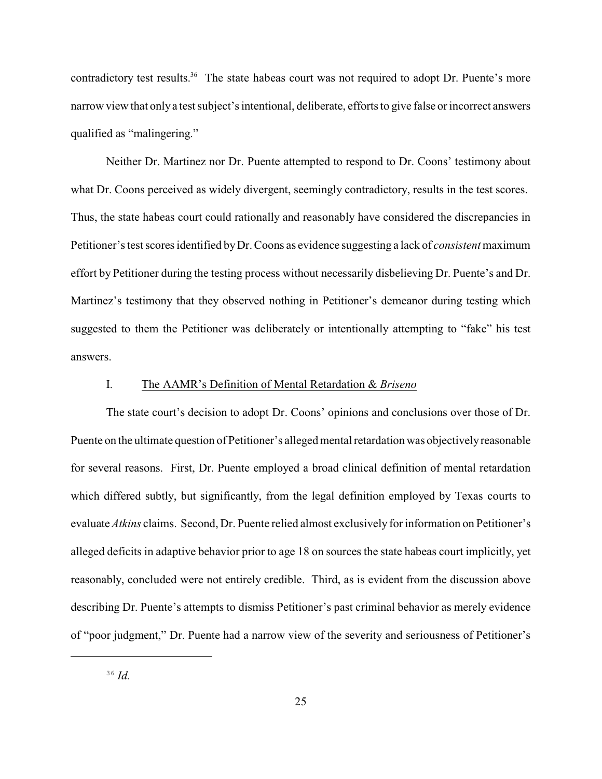contradictory test results.<sup>36</sup> The state habeas court was not required to adopt Dr. Puente's more narrow view that onlya test subject's intentional, deliberate, efforts to give false or incorrect answers qualified as "malingering."

Neither Dr. Martinez nor Dr. Puente attempted to respond to Dr. Coons' testimony about what Dr. Coons perceived as widely divergent, seemingly contradictory, results in the test scores. Thus, the state habeas court could rationally and reasonably have considered the discrepancies in Petitioner's test scores identified byDr. Coons as evidence suggesting a lack of *consistent*maximum effort by Petitioner during the testing process without necessarily disbelieving Dr. Puente's and Dr. Martinez's testimony that they observed nothing in Petitioner's demeanor during testing which suggested to them the Petitioner was deliberately or intentionally attempting to "fake" his test answers.

# I. The AAMR's Definition of Mental Retardation & *Briseno*

The state court's decision to adopt Dr. Coons' opinions and conclusions over those of Dr. Puente on the ultimate question of Petitioner's alleged mental retardation was objectivelyreasonable for several reasons. First, Dr. Puente employed a broad clinical definition of mental retardation which differed subtly, but significantly, from the legal definition employed by Texas courts to evaluate *Atkins* claims. Second, Dr. Puente relied almost exclusively for information on Petitioner's alleged deficits in adaptive behavior prior to age 18 on sources the state habeas court implicitly, yet reasonably, concluded were not entirely credible. Third, as is evident from the discussion above describing Dr. Puente's attempts to dismiss Petitioner's past criminal behavior as merely evidence of "poor judgment," Dr. Puente had a narrow view of the severity and seriousness of Petitioner's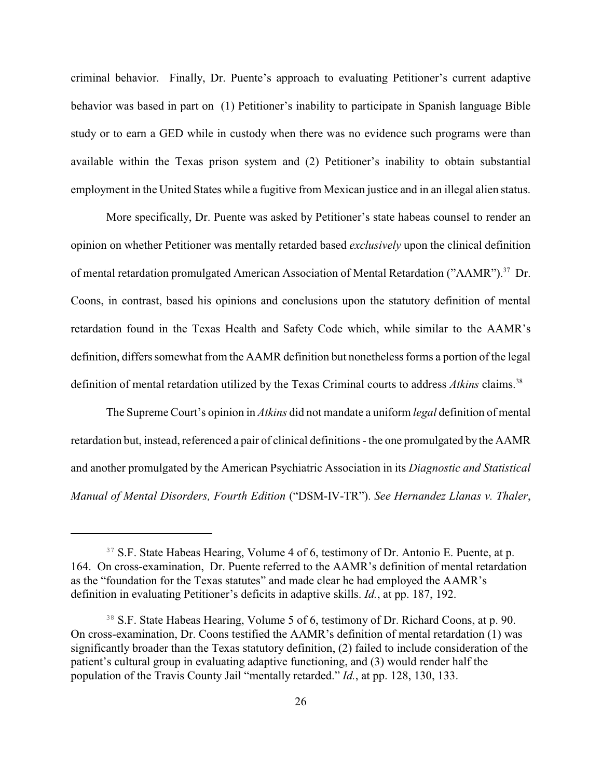criminal behavior. Finally, Dr. Puente's approach to evaluating Petitioner's current adaptive behavior was based in part on (1) Petitioner's inability to participate in Spanish language Bible study or to earn a GED while in custody when there was no evidence such programs were than available within the Texas prison system and (2) Petitioner's inability to obtain substantial employment in the United States while a fugitive from Mexican justice and in an illegal alien status.

More specifically, Dr. Puente was asked by Petitioner's state habeas counsel to render an opinion on whether Petitioner was mentally retarded based *exclusively* upon the clinical definition of mental retardation promulgated American Association of Mental Retardation ("AAMR").<sup>37</sup> Dr. Coons, in contrast, based his opinions and conclusions upon the statutory definition of mental retardation found in the Texas Health and Safety Code which, while similar to the AAMR's definition, differs somewhat from the AAMR definition but nonetheless forms a portion of the legal definition of mental retardation utilized by the Texas Criminal courts to address *Atkins* claims.<sup>38</sup>

The Supreme Court's opinion in *Atkins* did not mandate a uniform *legal* definition of mental retardation but, instead, referenced a pair of clinical definitions - the one promulgated by the AAMR and another promulgated by the American Psychiatric Association in its *Diagnostic and Statistical Manual of Mental Disorders, Fourth Edition* ("DSM-IV-TR"). *See Hernandez Llanas v. Thaler*,

<sup>&</sup>lt;sup>37</sup> S.F. State Habeas Hearing, Volume 4 of 6, testimony of Dr. Antonio E. Puente, at p. 164. On cross-examination, Dr. Puente referred to the AAMR's definition of mental retardation as the "foundation for the Texas statutes" and made clear he had employed the AAMR's definition in evaluating Petitioner's deficits in adaptive skills. *Id.*, at pp. 187, 192.

<sup>&</sup>lt;sup>38</sup> S.F. State Habeas Hearing, Volume 5 of 6, testimony of Dr. Richard Coons, at p. 90. On cross-examination, Dr. Coons testified the AAMR's definition of mental retardation (1) was significantly broader than the Texas statutory definition, (2) failed to include consideration of the patient's cultural group in evaluating adaptive functioning, and (3) would render half the population of the Travis County Jail "mentally retarded." *Id.*, at pp. 128, 130, 133.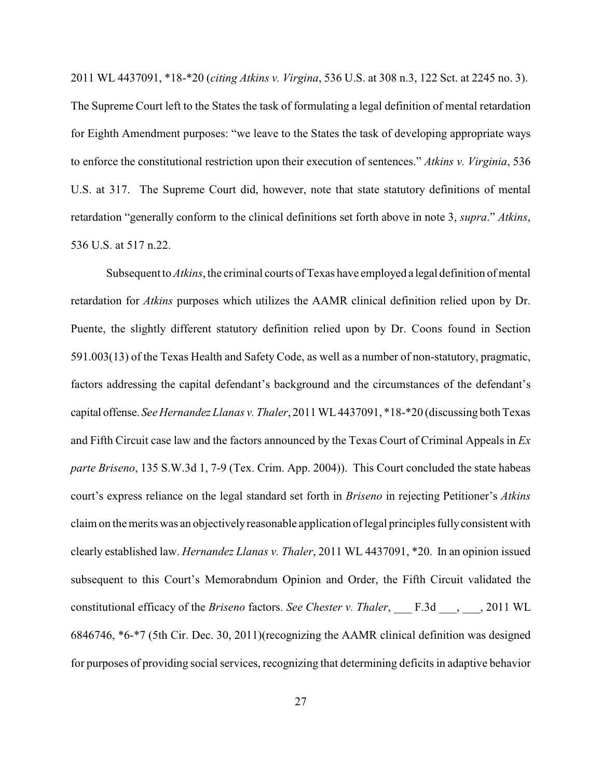2011 WL 4437091, \*18-\*20 (*citing Atkins v. Virgina*, 536 U.S. at 308 n.3, 122 Sct. at 2245 no. 3). The Supreme Court left to the States the task of formulating a legal definition of mental retardation for Eighth Amendment purposes: "we leave to the States the task of developing appropriate ways to enforce the constitutional restriction upon their execution of sentences." *Atkins v. Virginia*, 536 U.S. at 317. The Supreme Court did, however, note that state statutory definitions of mental retardation "generally conform to the clinical definitions set forth above in note 3, *supra*." *Atkins*, 536 U.S. at 517 n.22.

Subsequent to *Atkins*, the criminal courts of Texas have employed a legal definition of mental retardation for *Atkins* purposes which utilizes the AAMR clinical definition relied upon by Dr. Puente, the slightly different statutory definition relied upon by Dr. Coons found in Section 591.003(13) of the Texas Health and Safety Code, as well as a number of non-statutory, pragmatic, factors addressing the capital defendant's background and the circumstances of the defendant's capital offense. *SeeHernandez Llanas v. Thaler*, 2011 WL4437091, \*18-\*20 (discussing both Texas and Fifth Circuit case law and the factors announced by the Texas Court of Criminal Appeals in *Ex parte Briseno*, 135 S.W.3d 1, 7-9 (Tex. Crim. App. 2004)). This Court concluded the state habeas court's express reliance on the legal standard set forth in *Briseno* in rejecting Petitioner's *Atkins* claim on the merits was an objectivelyreasonable application of legal principles fullyconsistent with clearly established law. *Hernandez Llanas v. Thaler*, 2011 WL 4437091, \*20. In an opinion issued subsequent to this Court's Memorabndum Opinion and Order, the Fifth Circuit validated the constitutional efficacy of the *Briseno* factors. *See Chester v. Thaler*, \_\_\_ F.3d \_\_\_, \_\_\_, 2011 WL 6846746, \*6-\*7 (5th Cir. Dec. 30, 2011)(recognizing the AAMR clinical definition was designed for purposes of providing social services, recognizing that determining deficits in adaptive behavior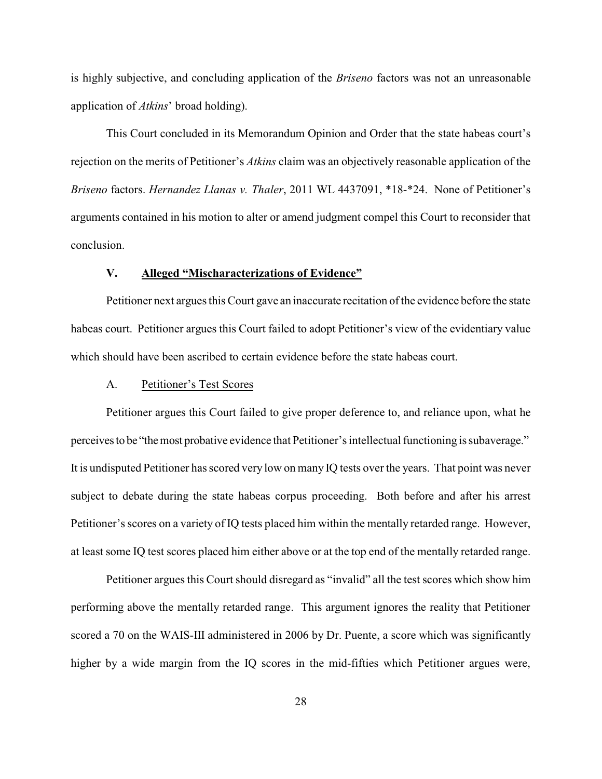is highly subjective, and concluding application of the *Briseno* factors was not an unreasonable application of *Atkins*' broad holding).

This Court concluded in its Memorandum Opinion and Order that the state habeas court's rejection on the merits of Petitioner's *Atkins* claim was an objectively reasonable application of the *Briseno* factors. *Hernandez Llanas v. Thaler*, 2011 WL 4437091, \*18-\*24. None of Petitioner's arguments contained in his motion to alter or amend judgment compel this Court to reconsider that conclusion.

## **V. Alleged "Mischaracterizations of Evidence"**

Petitioner next argues this Court gave an inaccurate recitation of the evidence before the state habeas court. Petitioner argues this Court failed to adopt Petitioner's view of the evidentiary value which should have been ascribed to certain evidence before the state habeas court.

# A. Petitioner's Test Scores

Petitioner argues this Court failed to give proper deference to, and reliance upon, what he perceivesto be "themost probative evidence that Petitioner's intellectual functioning is subaverage." It is undisputed Petitioner has scored very low on many IQ tests over the years. That point was never subject to debate during the state habeas corpus proceeding. Both before and after his arrest Petitioner's scores on a variety of IQ tests placed him within the mentally retarded range. However, at least some IQ test scores placed him either above or at the top end of the mentally retarded range.

Petitioner argues this Court should disregard as "invalid" all the test scores which show him performing above the mentally retarded range. This argument ignores the reality that Petitioner scored a 70 on the WAIS-III administered in 2006 by Dr. Puente, a score which was significantly higher by a wide margin from the IQ scores in the mid-fifties which Petitioner argues were,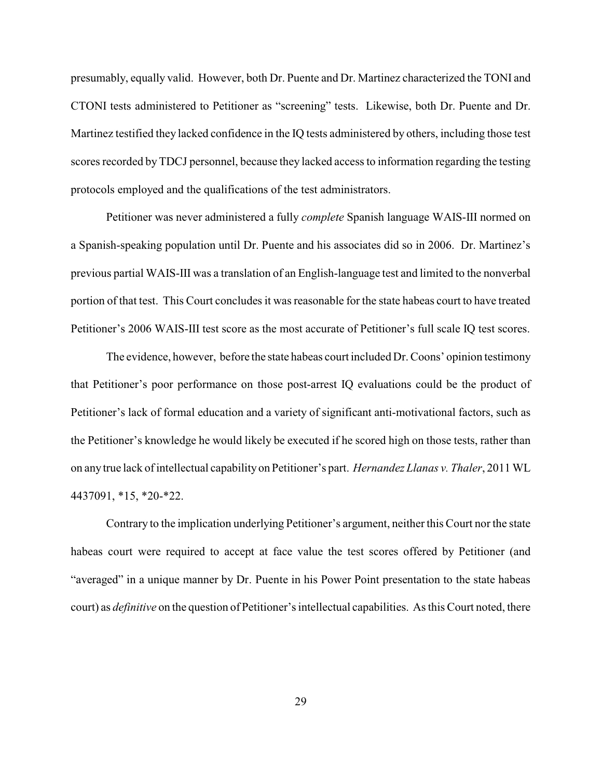presumably, equally valid. However, both Dr. Puente and Dr. Martinez characterized the TONI and CTONI tests administered to Petitioner as "screening" tests. Likewise, both Dr. Puente and Dr. Martinez testified they lacked confidence in the IQ tests administered by others, including those test scores recorded byTDCJ personnel, because they lacked access to information regarding the testing protocols employed and the qualifications of the test administrators.

Petitioner was never administered a fully *complete* Spanish language WAIS-III normed on a Spanish-speaking population until Dr. Puente and his associates did so in 2006. Dr. Martinez's previous partial WAIS-III was a translation of an English-language test and limited to the nonverbal portion of that test. This Court concludes it was reasonable for the state habeas court to have treated Petitioner's 2006 WAIS-III test score as the most accurate of Petitioner's full scale IQ test scores.

The evidence, however, before the state habeas court included Dr. Coons' opinion testimony that Petitioner's poor performance on those post-arrest IQ evaluations could be the product of Petitioner's lack of formal education and a variety of significant anti-motivational factors, such as the Petitioner's knowledge he would likely be executed if he scored high on those tests, rather than on anytrue lack of intellectual capability on Petitioner's part. *Hernandez Llanas v. Thaler*, 2011 WL 4437091, \*15, \*20-\*22.

Contrary to the implication underlying Petitioner's argument, neither this Court nor the state habeas court were required to accept at face value the test scores offered by Petitioner (and "averaged" in a unique manner by Dr. Puente in his Power Point presentation to the state habeas court) as *definitive* on the question of Petitioner's intellectual capabilities. As this Court noted, there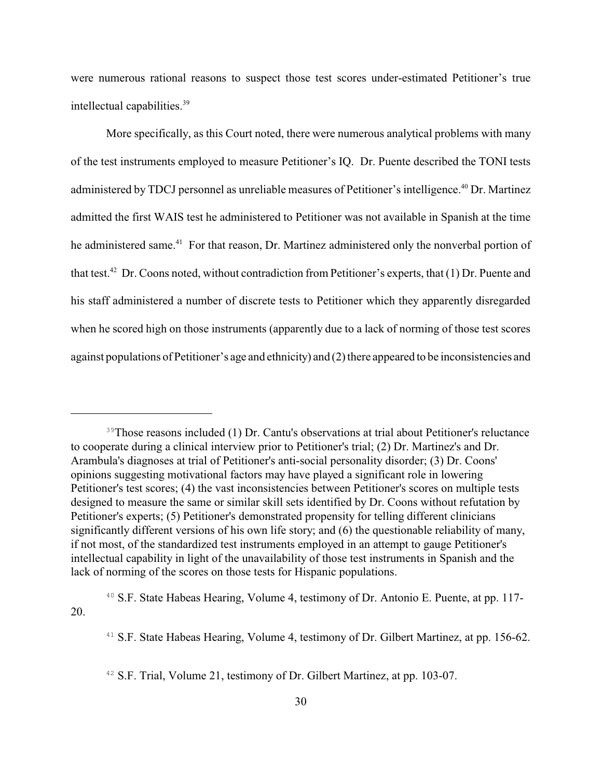were numerous rational reasons to suspect those test scores under-estimated Petitioner's true intellectual capabilities.<sup>39</sup>

More specifically, as this Court noted, there were numerous analytical problems with many of the test instruments employed to measure Petitioner's IQ. Dr. Puente described the TONI tests administered by TDCJ personnel as unreliable measures of Petitioner's intelligence.<sup>40</sup> Dr. Martinez admitted the first WAIS test he administered to Petitioner was not available in Spanish at the time he administered same.<sup>41</sup> For that reason, Dr. Martinez administered only the nonverbal portion of that test.<sup>42</sup> Dr. Coons noted, without contradiction from Petitioner's experts, that (1) Dr. Puente and his staff administered a number of discrete tests to Petitioner which they apparently disregarded when he scored high on those instruments (apparently due to a lack of norming of those test scores against populations of Petitioner's age and ethnicity) and (2) there appeared to be inconsistencies and

<sup>&</sup>lt;sup>39</sup>Those reasons included (1) Dr. Cantu's observations at trial about Petitioner's reluctance to cooperate during a clinical interview prior to Petitioner's trial; (2) Dr. Martinez's and Dr. Arambula's diagnoses at trial of Petitioner's anti-social personality disorder; (3) Dr. Coons' opinions suggesting motivational factors may have played a significant role in lowering Petitioner's test scores; (4) the vast inconsistencies between Petitioner's scores on multiple tests designed to measure the same or similar skill sets identified by Dr. Coons without refutation by Petitioner's experts; (5) Petitioner's demonstrated propensity for telling different clinicians significantly different versions of his own life story; and (6) the questionable reliability of many, if not most, of the standardized test instruments employed in an attempt to gauge Petitioner's intellectual capability in light of the unavailability of those test instruments in Spanish and the lack of norming of the scores on those tests for Hispanic populations.

<sup>&</sup>lt;sup>40</sup> S.F. State Habeas Hearing, Volume 4, testimony of Dr. Antonio E. Puente, at pp. 117-20.

 $41$  S.F. State Habeas Hearing, Volume 4, testimony of Dr. Gilbert Martinez, at pp. 156-62.

 $42$  S.F. Trial, Volume 21, testimony of Dr. Gilbert Martinez, at pp. 103-07.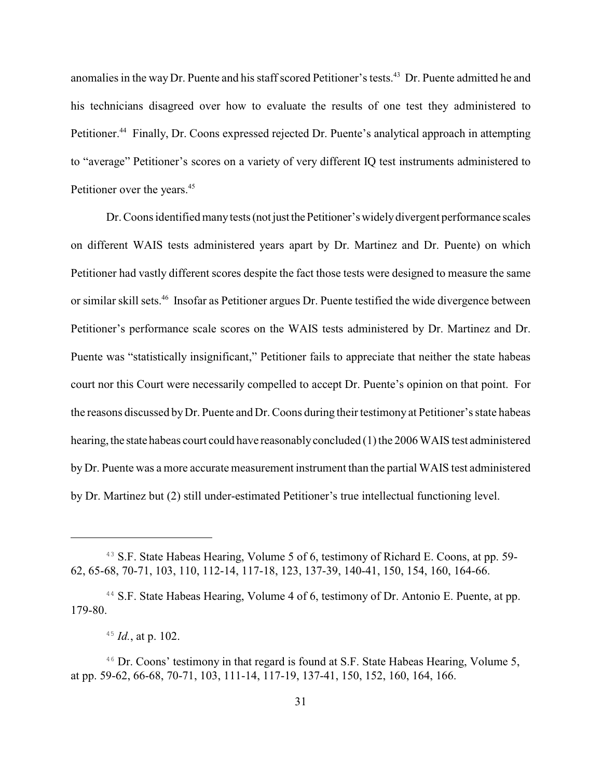anomalies in the way Dr. Puente and his staff scored Petitioner's tests.<sup>43</sup> Dr. Puente admitted he and his technicians disagreed over how to evaluate the results of one test they administered to Petitioner.<sup>44</sup> Finally, Dr. Coons expressed rejected Dr. Puente's analytical approach in attempting to "average" Petitioner's scores on a variety of very different IQ test instruments administered to Petitioner over the years.<sup>45</sup>

Dr. Coons identified many tests (not just the Petitioner's widely divergent performance scales on different WAIS tests administered years apart by Dr. Martinez and Dr. Puente) on which Petitioner had vastly different scores despite the fact those tests were designed to measure the same or similar skill sets.<sup>46</sup> Insofar as Petitioner argues Dr. Puente testified the wide divergence between Petitioner's performance scale scores on the WAIS tests administered by Dr. Martinez and Dr. Puente was "statistically insignificant," Petitioner fails to appreciate that neither the state habeas court nor this Court were necessarily compelled to accept Dr. Puente's opinion on that point. For the reasons discussed byDr. Puente and Dr. Coons during their testimony at Petitioner's state habeas hearing, the state habeas court could have reasonably concluded (1) the 2006 WAIS test administered by Dr. Puente was a more accurate measurement instrument than the partial WAIS test administered by Dr. Martinez but (2) still under-estimated Petitioner's true intellectual functioning level.

<sup>&</sup>lt;sup>43</sup> S.F. State Habeas Hearing, Volume 5 of 6, testimony of Richard E. Coons, at pp. 59-62, 65-68, 70-71, 103, 110, 112-14, 117-18, 123, 137-39, 140-41, 150, 154, 160, 164-66.

 $44$  S.F. State Habeas Hearing, Volume 4 of 6, testimony of Dr. Antonio E. Puente, at pp. 179-80.

 $^{45}$  *Id.*, at p. 102.

<sup>&</sup>lt;sup>46</sup> Dr. Coons' testimony in that regard is found at S.F. State Habeas Hearing, Volume 5, at pp. 59-62, 66-68, 70-71, 103, 111-14, 117-19, 137-41, 150, 152, 160, 164, 166.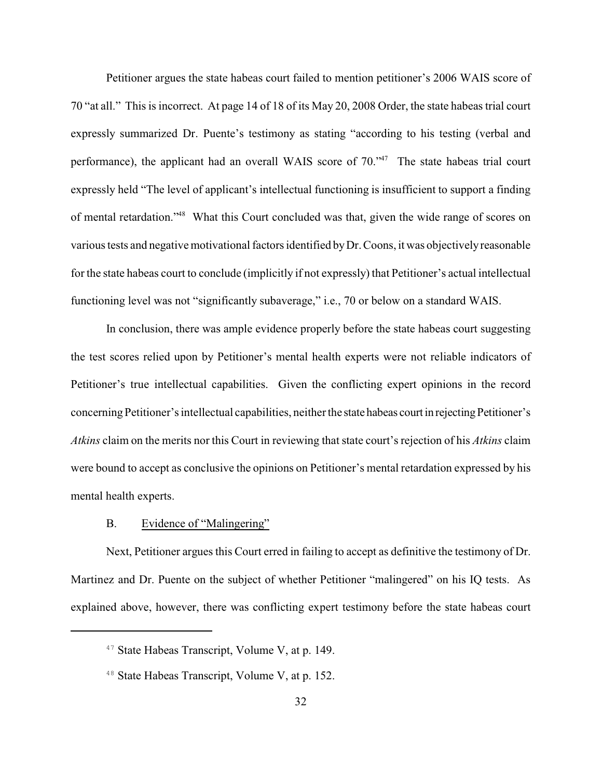Petitioner argues the state habeas court failed to mention petitioner's 2006 WAIS score of 70 "at all." This is incorrect. At page 14 of 18 of its May 20, 2008 Order, the state habeas trial court expressly summarized Dr. Puente's testimony as stating "according to his testing (verbal and performance), the applicant had an overall WAIS score of  $70.^{47}$ . The state habeas trial court expressly held "The level of applicant's intellectual functioning is insufficient to support a finding of mental retardation."<sup>48</sup> What this Court concluded was that, given the wide range of scores on various tests and negative motivational factors identified byDr. Coons, it was objectivelyreasonable for the state habeas court to conclude (implicitly if not expressly) that Petitioner's actual intellectual functioning level was not "significantly subaverage," i.e., 70 or below on a standard WAIS.

In conclusion, there was ample evidence properly before the state habeas court suggesting the test scores relied upon by Petitioner's mental health experts were not reliable indicators of Petitioner's true intellectual capabilities. Given the conflicting expert opinions in the record concerningPetitioner's intellectual capabilities, neither the state habeas court in rejectingPetitioner's *Atkins* claim on the merits nor this Court in reviewing that state court's rejection of his *Atkins* claim were bound to accept as conclusive the opinions on Petitioner's mental retardation expressed by his mental health experts.

## B. Evidence of "Malingering"

Next, Petitioner argues this Court erred in failing to accept as definitive the testimony of Dr. Martinez and Dr. Puente on the subject of whether Petitioner "malingered" on his IQ tests. As explained above, however, there was conflicting expert testimony before the state habeas court

<sup>&</sup>lt;sup>47</sup> State Habeas Transcript, Volume V, at p. 149.

 $48$  State Habeas Transcript, Volume V, at p. 152.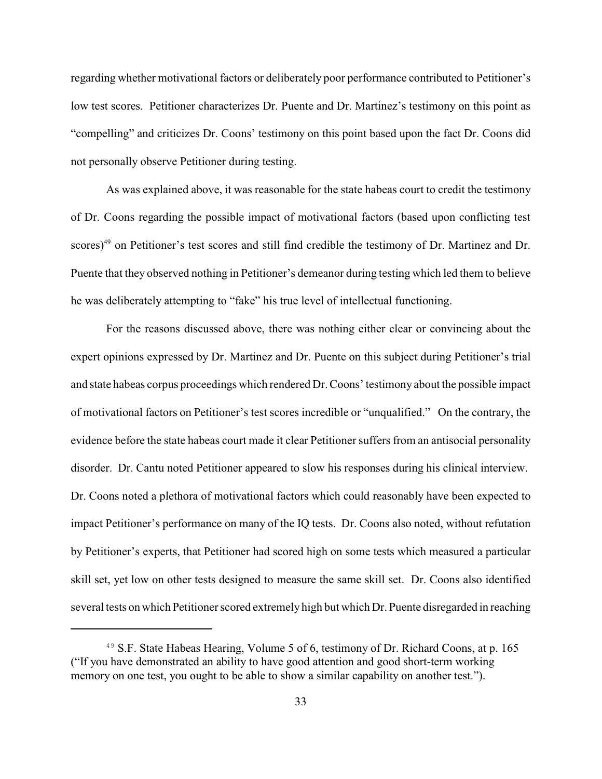regarding whether motivational factors or deliberately poor performance contributed to Petitioner's low test scores. Petitioner characterizes Dr. Puente and Dr. Martinez's testimony on this point as "compelling" and criticizes Dr. Coons' testimony on this point based upon the fact Dr. Coons did not personally observe Petitioner during testing.

As was explained above, it was reasonable for the state habeas court to credit the testimony of Dr. Coons regarding the possible impact of motivational factors (based upon conflicting test scores)<sup>49</sup> on Petitioner's test scores and still find credible the testimony of Dr. Martinez and Dr. Puente that they observed nothing in Petitioner's demeanor during testing which led them to believe he was deliberately attempting to "fake" his true level of intellectual functioning.

For the reasons discussed above, there was nothing either clear or convincing about the expert opinions expressed by Dr. Martinez and Dr. Puente on this subject during Petitioner's trial and state habeas corpus proceedings which rendered Dr. Coons' testimony about the possible impact of motivational factors on Petitioner's test scores incredible or "unqualified." On the contrary, the evidence before the state habeas court made it clear Petitioner suffers from an antisocial personality disorder. Dr. Cantu noted Petitioner appeared to slow his responses during his clinical interview. Dr. Coons noted a plethora of motivational factors which could reasonably have been expected to impact Petitioner's performance on many of the IQ tests. Dr. Coons also noted, without refutation by Petitioner's experts, that Petitioner had scored high on some tests which measured a particular skill set, yet low on other tests designed to measure the same skill set. Dr. Coons also identified several tests on which Petitioner scored extremely high but which Dr. Puente disregarded in reaching

<sup>&</sup>lt;sup>49</sup> S.F. State Habeas Hearing, Volume 5 of 6, testimony of Dr. Richard Coons, at p. 165 ("If you have demonstrated an ability to have good attention and good short-term working memory on one test, you ought to be able to show a similar capability on another test.").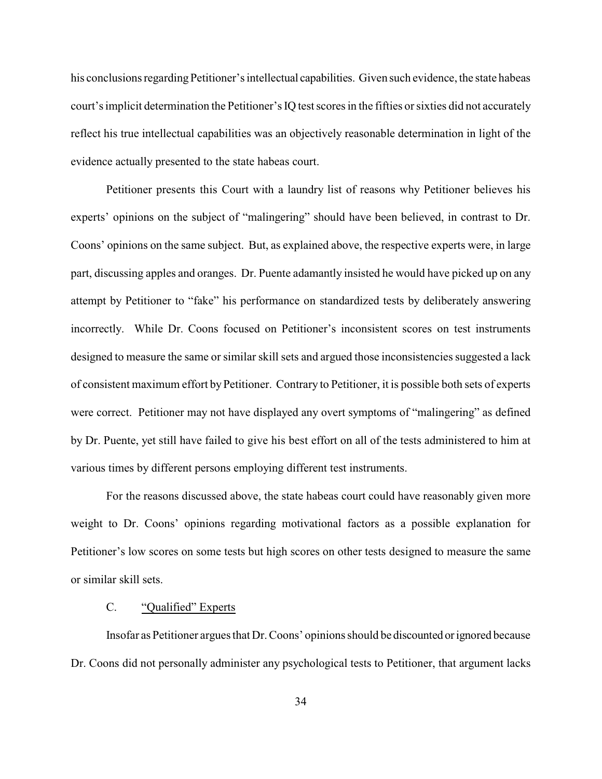his conclusions regarding Petitioner's intellectual capabilities. Given such evidence, the state habeas court's implicit determination the Petitioner's IQ test scores in the fifties or sixties did not accurately reflect his true intellectual capabilities was an objectively reasonable determination in light of the evidence actually presented to the state habeas court.

Petitioner presents this Court with a laundry list of reasons why Petitioner believes his experts' opinions on the subject of "malingering" should have been believed, in contrast to Dr. Coons' opinions on the same subject. But, as explained above, the respective experts were, in large part, discussing apples and oranges. Dr. Puente adamantly insisted he would have picked up on any attempt by Petitioner to "fake" his performance on standardized tests by deliberately answering incorrectly. While Dr. Coons focused on Petitioner's inconsistent scores on test instruments designed to measure the same or similar skill sets and argued those inconsistencies suggested a lack of consistent maximum effort byPetitioner. Contrary to Petitioner, it is possible both sets of experts were correct. Petitioner may not have displayed any overt symptoms of "malingering" as defined by Dr. Puente, yet still have failed to give his best effort on all of the tests administered to him at various times by different persons employing different test instruments.

For the reasons discussed above, the state habeas court could have reasonably given more weight to Dr. Coons' opinions regarding motivational factors as a possible explanation for Petitioner's low scores on some tests but high scores on other tests designed to measure the same or similar skill sets.

# C. "Qualified" Experts

Insofar as Petitioner argues that Dr. Coons' opinions should be discounted orignored because Dr. Coons did not personally administer any psychological tests to Petitioner, that argument lacks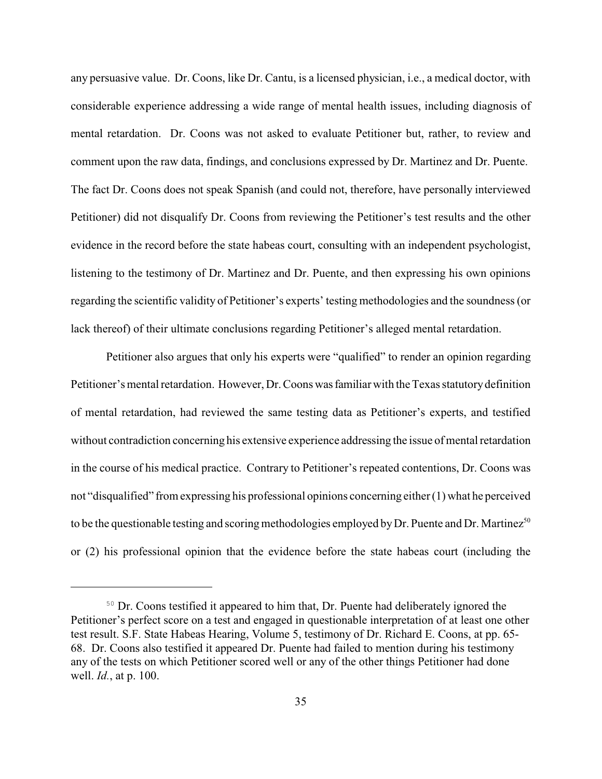any persuasive value. Dr. Coons, like Dr. Cantu, is a licensed physician, i.e., a medical doctor, with considerable experience addressing a wide range of mental health issues, including diagnosis of mental retardation. Dr. Coons was not asked to evaluate Petitioner but, rather, to review and comment upon the raw data, findings, and conclusions expressed by Dr. Martinez and Dr. Puente. The fact Dr. Coons does not speak Spanish (and could not, therefore, have personally interviewed Petitioner) did not disqualify Dr. Coons from reviewing the Petitioner's test results and the other evidence in the record before the state habeas court, consulting with an independent psychologist, listening to the testimony of Dr. Martinez and Dr. Puente, and then expressing his own opinions regarding the scientific validity of Petitioner's experts' testing methodologies and the soundness (or lack thereof) of their ultimate conclusions regarding Petitioner's alleged mental retardation.

Petitioner also argues that only his experts were "qualified" to render an opinion regarding Petitioner's mental retardation. However, Dr. Coons was familiar with the Texas statutory definition of mental retardation, had reviewed the same testing data as Petitioner's experts, and testified without contradiction concerning his extensive experience addressing the issue of mental retardation in the course of his medical practice. Contrary to Petitioner's repeated contentions, Dr. Coons was not "disqualified" from expressing his professional opinions concerning either (1) what he perceived to be the questionable testing and scoring methodologies employed by Dr. Puente and Dr. Martinez<sup>50</sup> or (2) his professional opinion that the evidence before the state habeas court (including the

<sup>&</sup>lt;sup>50</sup> Dr. Coons testified it appeared to him that, Dr. Puente had deliberately ignored the Petitioner's perfect score on a test and engaged in questionable interpretation of at least one other test result. S.F. State Habeas Hearing, Volume 5, testimony of Dr. Richard E. Coons, at pp. 65- 68. Dr. Coons also testified it appeared Dr. Puente had failed to mention during his testimony any of the tests on which Petitioner scored well or any of the other things Petitioner had done well. *Id.*, at p. 100.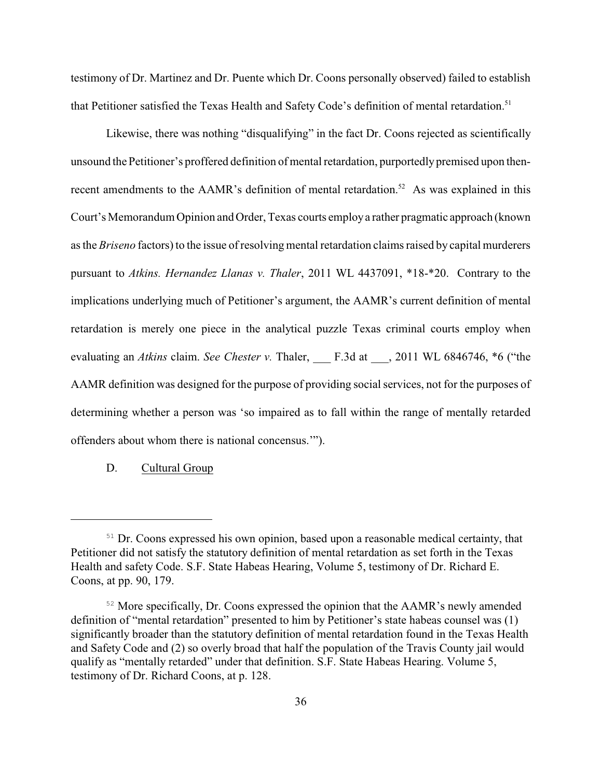testimony of Dr. Martinez and Dr. Puente which Dr. Coons personally observed) failed to establish that Petitioner satisfied the Texas Health and Safety Code's definition of mental retardation.<sup>51</sup>

Likewise, there was nothing "disqualifying" in the fact Dr. Coons rejected as scientifically unsound the Petitioner's proffered definition of mental retardation, purportedlypremised upon thenrecent amendments to the AAMR's definition of mental retardation.<sup>52</sup> As was explained in this Court's Memorandum Opinion and Order, Texas courts employa rather pragmatic approach (known as the *Briseno* factors) to the issue of resolving mental retardation claims raised by capital murderers pursuant to *Atkins. Hernandez Llanas v. Thaler*, 2011 WL 4437091, \*18-\*20. Contrary to the implications underlying much of Petitioner's argument, the AAMR's current definition of mental retardation is merely one piece in the analytical puzzle Texas criminal courts employ when evaluating an *Atkins* claim. *See Chester v.* Thaler, F.3d at , 2011 WL 6846746, \*6 ("the AAMR definition was designed for the purpose of providing social services, not for the purposes of determining whether a person was 'so impaired as to fall within the range of mentally retarded offenders about whom there is national concensus.'").

D. Cultural Group

 $51$  Dr. Coons expressed his own opinion, based upon a reasonable medical certainty, that Petitioner did not satisfy the statutory definition of mental retardation as set forth in the Texas Health and safety Code. S.F. State Habeas Hearing, Volume 5, testimony of Dr. Richard E. Coons, at pp. 90, 179.

<sup>&</sup>lt;sup>52</sup> More specifically, Dr. Coons expressed the opinion that the AAMR's newly amended definition of "mental retardation" presented to him by Petitioner's state habeas counsel was (1) significantly broader than the statutory definition of mental retardation found in the Texas Health and Safety Code and (2) so overly broad that half the population of the Travis County jail would qualify as "mentally retarded" under that definition. S.F. State Habeas Hearing. Volume 5, testimony of Dr. Richard Coons, at p. 128.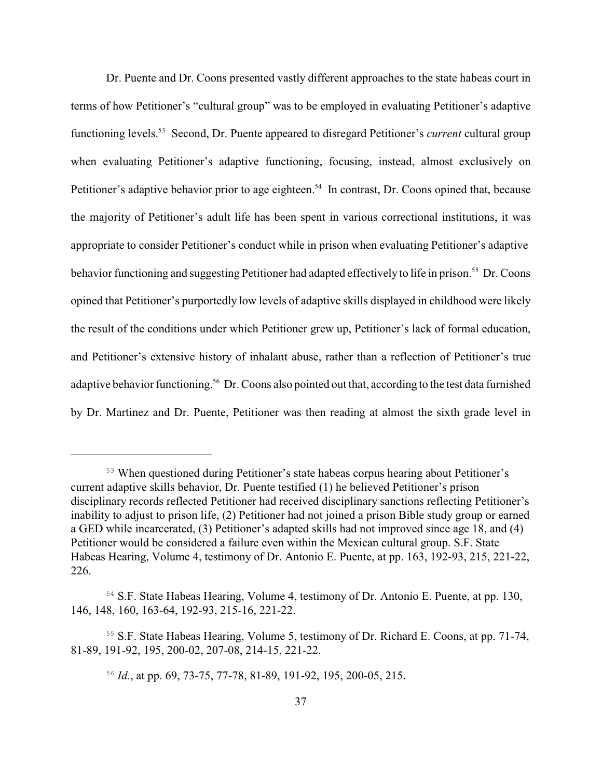Dr. Puente and Dr. Coons presented vastly different approaches to the state habeas court in terms of how Petitioner's "cultural group" was to be employed in evaluating Petitioner's adaptive functioning levels.<sup>53</sup> Second, Dr. Puente appeared to disregard Petitioner's *current* cultural group when evaluating Petitioner's adaptive functioning, focusing, instead, almost exclusively on Petitioner's adaptive behavior prior to age eighteen.<sup>54</sup> In contrast, Dr. Coons opined that, because the majority of Petitioner's adult life has been spent in various correctional institutions, it was appropriate to consider Petitioner's conduct while in prison when evaluating Petitioner's adaptive behavior functioning and suggesting Petitioner had adapted effectively to life in prison.<sup>55</sup> Dr. Coons opined that Petitioner's purportedly low levels of adaptive skills displayed in childhood were likely the result of the conditions under which Petitioner grew up, Petitioner's lack of formal education, and Petitioner's extensive history of inhalant abuse, rather than a reflection of Petitioner's true adaptive behavior functioning.<sup>56</sup> Dr. Coons also pointed out that, according to the test data furnished by Dr. Martinez and Dr. Puente, Petitioner was then reading at almost the sixth grade level in

When questioned during Petitioner's state habeas corpus hearing about Petitioner's 53 current adaptive skills behavior, Dr. Puente testified (1) he believed Petitioner's prison disciplinary records reflected Petitioner had received disciplinary sanctions reflecting Petitioner's inability to adjust to prison life, (2) Petitioner had not joined a prison Bible study group or earned a GED while incarcerated, (3) Petitioner's adapted skills had not improved since age 18, and (4) Petitioner would be considered a failure even within the Mexican cultural group. S.F. State Habeas Hearing, Volume 4, testimony of Dr. Antonio E. Puente, at pp. 163, 192-93, 215, 221-22, 226.

<sup>&</sup>lt;sup>54</sup> S.F. State Habeas Hearing, Volume 4, testimony of Dr. Antonio E. Puente, at pp. 130, 146, 148, 160, 163-64, 192-93, 215-16, 221-22.

<sup>&</sup>lt;sup>55</sup> S.F. State Habeas Hearing, Volume 5, testimony of Dr. Richard E. Coons, at pp. 71-74, 81-89, 191-92, 195, 200-02, 207-08, 214-15, 221-22.

 $^{56}$  *Id.*, at pp. 69, 73-75, 77-78, 81-89, 191-92, 195, 200-05, 215.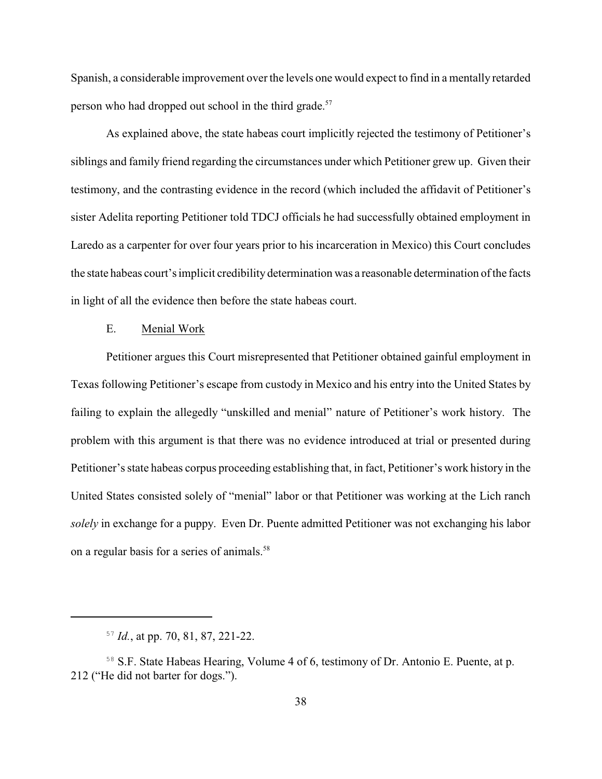Spanish, a considerable improvement over the levels one would expect to find in a mentally retarded person who had dropped out school in the third grade.<sup>57</sup>

As explained above, the state habeas court implicitly rejected the testimony of Petitioner's siblings and family friend regarding the circumstances under which Petitioner grew up. Given their testimony, and the contrasting evidence in the record (which included the affidavit of Petitioner's sister Adelita reporting Petitioner told TDCJ officials he had successfully obtained employment in Laredo as a carpenter for over four years prior to his incarceration in Mexico) this Court concludes the state habeas court's implicit credibility determination was a reasonable determination of the facts in light of all the evidence then before the state habeas court.

## E. Menial Work

Petitioner argues this Court misrepresented that Petitioner obtained gainful employment in Texas following Petitioner's escape from custody in Mexico and his entry into the United States by failing to explain the allegedly "unskilled and menial" nature of Petitioner's work history. The problem with this argument is that there was no evidence introduced at trial or presented during Petitioner's state habeas corpus proceeding establishing that, in fact, Petitioner's work history in the United States consisted solely of "menial" labor or that Petitioner was working at the Lich ranch *solely* in exchange for a puppy. Even Dr. Puente admitted Petitioner was not exchanging his labor on a regular basis for a series of animals.<sup>58</sup>

 $^{57}$  *Id.*, at pp. 70, 81, 87, 221-22.

<sup>&</sup>lt;sup>58</sup> S.F. State Habeas Hearing, Volume 4 of 6, testimony of Dr. Antonio E. Puente, at p. 212 ("He did not barter for dogs.").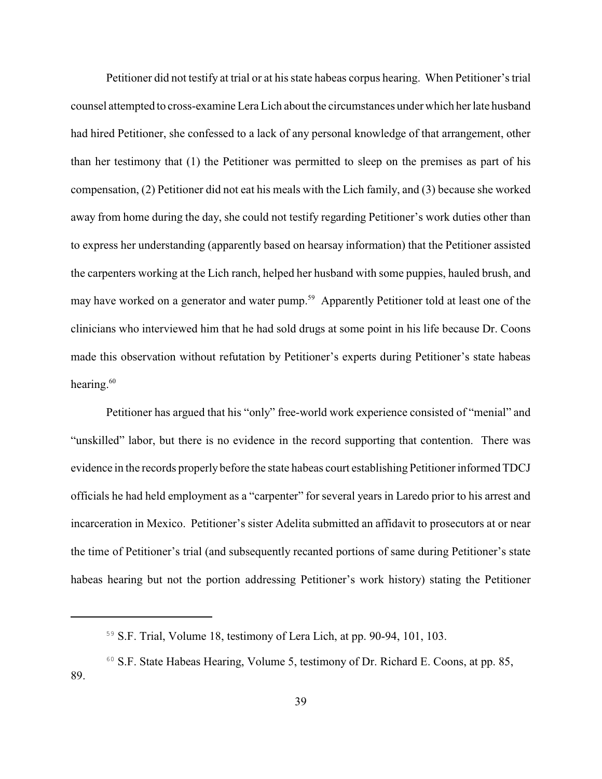Petitioner did not testify at trial or at his state habeas corpus hearing. When Petitioner's trial counsel attempted to cross-examine LeraLich about the circumstances under which her late husband had hired Petitioner, she confessed to a lack of any personal knowledge of that arrangement, other than her testimony that (1) the Petitioner was permitted to sleep on the premises as part of his compensation, (2) Petitioner did not eat his meals with the Lich family, and (3) because she worked away from home during the day, she could not testify regarding Petitioner's work duties other than to express her understanding (apparently based on hearsay information) that the Petitioner assisted the carpenters working at the Lich ranch, helped her husband with some puppies, hauled brush, and may have worked on a generator and water pump.<sup>59</sup> Apparently Petitioner told at least one of the clinicians who interviewed him that he had sold drugs at some point in his life because Dr. Coons made this observation without refutation by Petitioner's experts during Petitioner's state habeas hearing. $60$ 

Petitioner has argued that his "only" free-world work experience consisted of "menial" and "unskilled" labor, but there is no evidence in the record supporting that contention. There was evidence in the records properly before the state habeas court establishing Petitioner informed TDCJ officials he had held employment as a "carpenter" for several years in Laredo prior to his arrest and incarceration in Mexico. Petitioner's sister Adelita submitted an affidavit to prosecutors at or near the time of Petitioner's trial (and subsequently recanted portions of same during Petitioner's state habeas hearing but not the portion addressing Petitioner's work history) stating the Petitioner

 $59$  S.F. Trial, Volume 18, testimony of Lera Lich, at pp. 90-94, 101, 103.

 $60$  S.F. State Habeas Hearing, Volume 5, testimony of Dr. Richard E. Coons, at pp. 85, 89.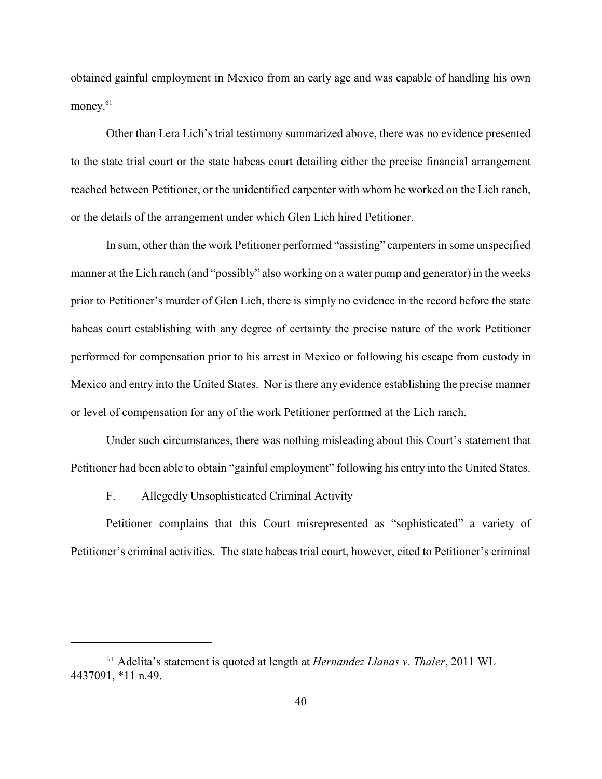obtained gainful employment in Mexico from an early age and was capable of handling his own money. 61

Other than Lera Lich's trial testimony summarized above, there was no evidence presented to the state trial court or the state habeas court detailing either the precise financial arrangement reached between Petitioner, or the unidentified carpenter with whom he worked on the Lich ranch, or the details of the arrangement under which Glen Lich hired Petitioner.

In sum, other than the work Petitioner performed "assisting" carpenters in some unspecified manner at the Lich ranch (and "possibly" also working on a water pump and generator) in the weeks prior to Petitioner's murder of Glen Lich, there is simply no evidence in the record before the state habeas court establishing with any degree of certainty the precise nature of the work Petitioner performed for compensation prior to his arrest in Mexico or following his escape from custody in Mexico and entry into the United States. Nor is there any evidence establishing the precise manner or level of compensation for any of the work Petitioner performed at the Lich ranch.

Under such circumstances, there was nothing misleading about this Court's statement that Petitioner had been able to obtain "gainful employment" following his entry into the United States.

## F. Allegedly Unsophisticated Criminal Activity

Petitioner complains that this Court misrepresented as "sophisticated" a variety of Petitioner's criminal activities. The state habeas trial court, however, cited to Petitioner's criminal

<sup>&</sup>lt;sup>61</sup> Adelita's statement is quoted at length at *Hernandez Llanas v. Thaler*, 2011 WL 4437091, \*11 n.49.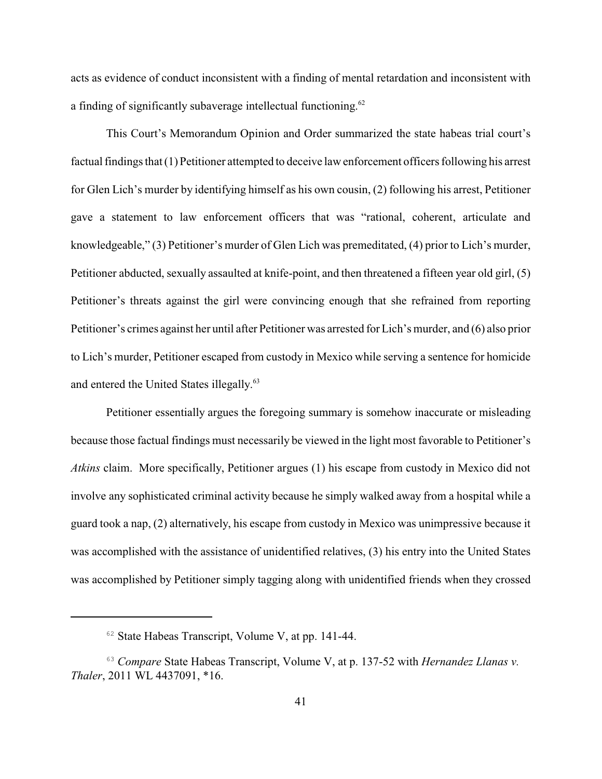acts as evidence of conduct inconsistent with a finding of mental retardation and inconsistent with a finding of significantly subaverage intellectual functioning.<sup>62</sup>

This Court's Memorandum Opinion and Order summarized the state habeas trial court's factual findings that (1) Petitioner attempted to deceive law enforcement officers following his arrest for Glen Lich's murder by identifying himself as his own cousin, (2) following his arrest, Petitioner gave a statement to law enforcement officers that was "rational, coherent, articulate and knowledgeable," (3) Petitioner's murder of Glen Lich was premeditated, (4) prior to Lich's murder, Petitioner abducted, sexually assaulted at knife-point, and then threatened a fifteen year old girl, (5) Petitioner's threats against the girl were convincing enough that she refrained from reporting Petitioner's crimes against her until after Petitioner was arrested for Lich's murder, and (6) also prior to Lich's murder, Petitioner escaped from custody in Mexico while serving a sentence for homicide and entered the United States illegally.<sup>63</sup>

Petitioner essentially argues the foregoing summary is somehow inaccurate or misleading because those factual findings must necessarily be viewed in the light most favorable to Petitioner's *Atkins* claim. More specifically, Petitioner argues (1) his escape from custody in Mexico did not involve any sophisticated criminal activity because he simply walked away from a hospital while a guard took a nap, (2) alternatively, his escape from custody in Mexico was unimpressive because it was accomplished with the assistance of unidentified relatives, (3) his entry into the United States was accomplished by Petitioner simply tagging along with unidentified friends when they crossed

 $62$  State Habeas Transcript, Volume V, at pp. 141-44.

*Compare* State Habeas Transcript, Volume V, at p. 137-52 with *Hernandez Llanas v.* <sup>63</sup> *Thaler*, 2011 WL 4437091, \*16.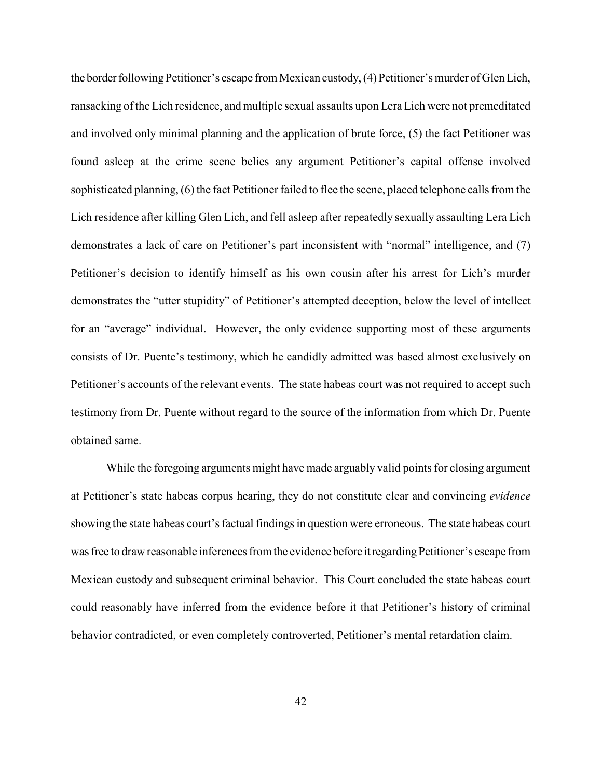the border following Petitioner's escape from Mexican custody, (4) Petitioner's murder of Glen Lich, ransacking of the Lich residence, and multiple sexual assaults upon Lera Lich were not premeditated and involved only minimal planning and the application of brute force, (5) the fact Petitioner was found asleep at the crime scene belies any argument Petitioner's capital offense involved sophisticated planning, (6) the fact Petitioner failed to flee the scene, placed telephone calls from the Lich residence after killing Glen Lich, and fell asleep after repeatedly sexually assaulting Lera Lich demonstrates a lack of care on Petitioner's part inconsistent with "normal" intelligence, and (7) Petitioner's decision to identify himself as his own cousin after his arrest for Lich's murder demonstrates the "utter stupidity" of Petitioner's attempted deception, below the level of intellect for an "average" individual. However, the only evidence supporting most of these arguments consists of Dr. Puente's testimony, which he candidly admitted was based almost exclusively on Petitioner's accounts of the relevant events. The state habeas court was not required to accept such testimony from Dr. Puente without regard to the source of the information from which Dr. Puente obtained same.

While the foregoing arguments might have made arguably valid points for closing argument at Petitioner's state habeas corpus hearing, they do not constitute clear and convincing *evidence* showing the state habeas court's factual findings in question were erroneous. The state habeas court was free to draw reasonable inferences from the evidence before it regarding Petitioner's escape from Mexican custody and subsequent criminal behavior. This Court concluded the state habeas court could reasonably have inferred from the evidence before it that Petitioner's history of criminal behavior contradicted, or even completely controverted, Petitioner's mental retardation claim.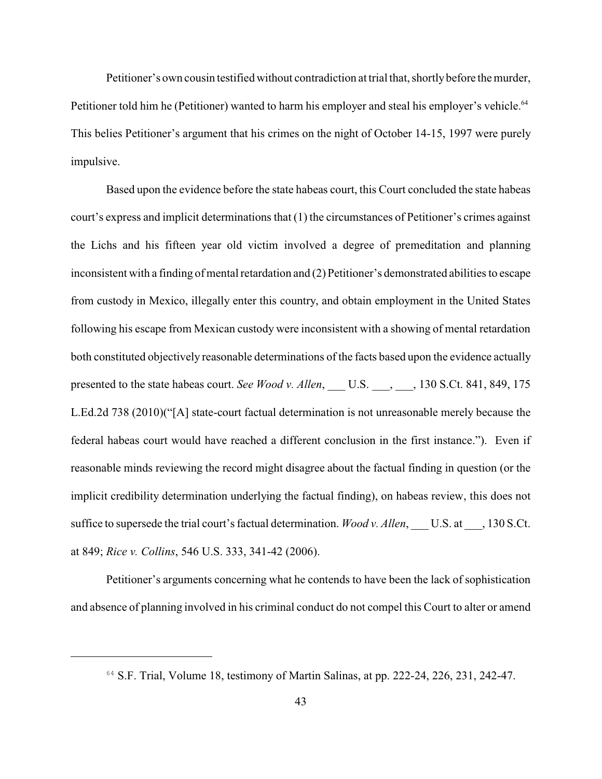Petitioner's own cousin testified without contradiction at trial that, shortlybefore the murder, Petitioner told him he (Petitioner) wanted to harm his employer and steal his employer's vehicle.<sup>64</sup> This belies Petitioner's argument that his crimes on the night of October 14-15, 1997 were purely impulsive.

Based upon the evidence before the state habeas court, this Court concluded the state habeas court's express and implicit determinations that (1) the circumstances of Petitioner's crimes against the Lichs and his fifteen year old victim involved a degree of premeditation and planning inconsistent with a finding of mental retardation and (2) Petitioner's demonstrated abilities to escape from custody in Mexico, illegally enter this country, and obtain employment in the United States following his escape from Mexican custody were inconsistent with a showing of mental retardation both constituted objectively reasonable determinations of the facts based upon the evidence actually presented to the state habeas court. *See Wood v. Allen*, U.S. , , 130 S.Ct. 841, 849, 175 L.Ed.2d 738 (2010)("[A] state-court factual determination is not unreasonable merely because the federal habeas court would have reached a different conclusion in the first instance."). Even if reasonable minds reviewing the record might disagree about the factual finding in question (or the implicit credibility determination underlying the factual finding), on habeas review, this does not suffice to supersede the trial court's factual determination. *Wood v. Allen*, \_\_\_ U.S. at \_\_\_, 130 S.Ct. at 849; *Rice v. Collins*, 546 U.S. 333, 341-42 (2006).

Petitioner's arguments concerning what he contends to have been the lack of sophistication and absence of planning involved in his criminal conduct do not compel this Court to alter or amend

 $64$  S.F. Trial, Volume 18, testimony of Martin Salinas, at pp. 222-24, 226, 231, 242-47.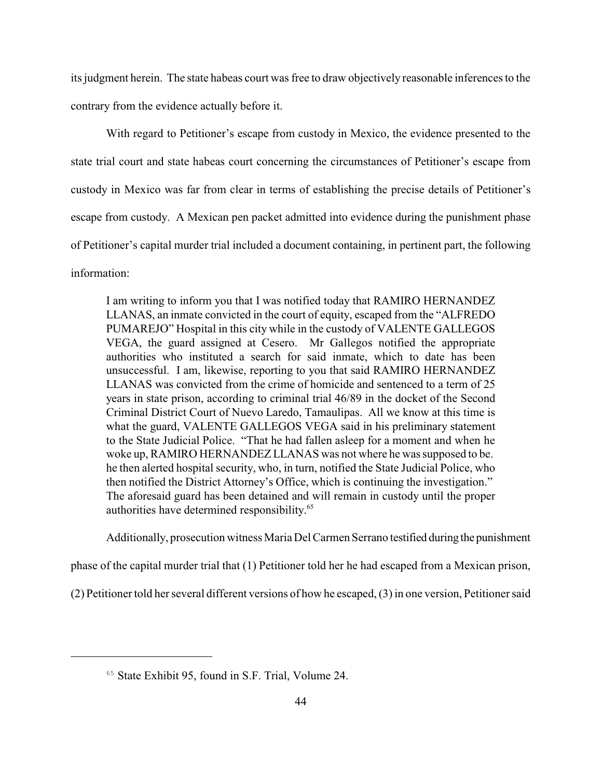its judgment herein. The state habeas court was free to draw objectively reasonable inferences to the contrary from the evidence actually before it.

With regard to Petitioner's escape from custody in Mexico, the evidence presented to the state trial court and state habeas court concerning the circumstances of Petitioner's escape from custody in Mexico was far from clear in terms of establishing the precise details of Petitioner's escape from custody. A Mexican pen packet admitted into evidence during the punishment phase of Petitioner's capital murder trial included a document containing, in pertinent part, the following information:

I am writing to inform you that I was notified today that RAMIRO HERNANDEZ LLANAS, an inmate convicted in the court of equity, escaped from the "ALFREDO PUMAREJO" Hospital in this city while in the custody of VALENTE GALLEGOS VEGA, the guard assigned at Cesero. Mr Gallegos notified the appropriate authorities who instituted a search for said inmate, which to date has been unsuccessful. I am, likewise, reporting to you that said RAMIRO HERNANDEZ LLANAS was convicted from the crime of homicide and sentenced to a term of 25 years in state prison, according to criminal trial 46/89 in the docket of the Second Criminal District Court of Nuevo Laredo, Tamaulipas. All we know at this time is what the guard, VALENTE GALLEGOS VEGA said in his preliminary statement to the State Judicial Police. "That he had fallen asleep for a moment and when he woke up, RAMIRO HERNANDEZ LLANAS was not where he was supposed to be. he then alerted hospital security, who, in turn, notified the State Judicial Police, who then notified the District Attorney's Office, which is continuing the investigation." The aforesaid guard has been detained and will remain in custody until the proper authorities have determined responsibility. 65

Additionally, prosecution witness Maria Del Carmen Serrano testified during the punishment

phase of the capital murder trial that (1) Petitioner told her he had escaped from a Mexican prison,

(2) Petitioner told her several different versions of how he escaped, (3) in one version, Petitioner said

 $65$  State Exhibit 95, found in S.F. Trial, Volume 24.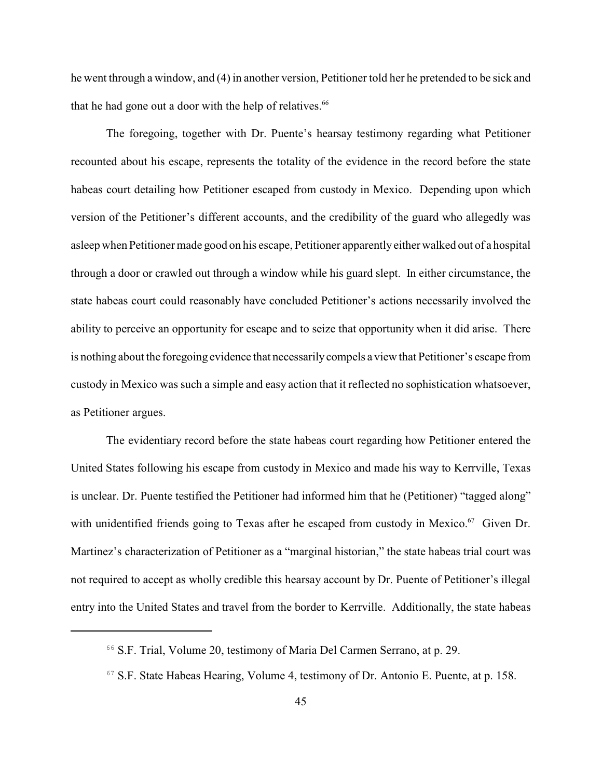he went through a window, and (4) in another version, Petitioner told her he pretended to be sick and that he had gone out a door with the help of relatives.<sup>66</sup>

The foregoing, together with Dr. Puente's hearsay testimony regarding what Petitioner recounted about his escape, represents the totality of the evidence in the record before the state habeas court detailing how Petitioner escaped from custody in Mexico. Depending upon which version of the Petitioner's different accounts, and the credibility of the guard who allegedly was asleep when Petitioner made good on his escape, Petitioner apparently either walked out of a hospital through a door or crawled out through a window while his guard slept. In either circumstance, the state habeas court could reasonably have concluded Petitioner's actions necessarily involved the ability to perceive an opportunity for escape and to seize that opportunity when it did arise. There is nothing about the foregoing evidence that necessarilycompels a view that Petitioner's escape from custody in Mexico was such a simple and easy action that it reflected no sophistication whatsoever, as Petitioner argues.

The evidentiary record before the state habeas court regarding how Petitioner entered the United States following his escape from custody in Mexico and made his way to Kerrville, Texas is unclear. Dr. Puente testified the Petitioner had informed him that he (Petitioner) "tagged along" with unidentified friends going to Texas after he escaped from custody in Mexico. $67$  Given Dr. Martinez's characterization of Petitioner as a "marginal historian," the state habeas trial court was not required to accept as wholly credible this hearsay account by Dr. Puente of Petitioner's illegal entry into the United States and travel from the border to Kerrville. Additionally, the state habeas

<sup>&</sup>lt;sup>66</sup> S.F. Trial, Volume 20, testimony of Maria Del Carmen Serrano, at p. 29.

 $67$  S.F. State Habeas Hearing, Volume 4, testimony of Dr. Antonio E. Puente, at p. 158.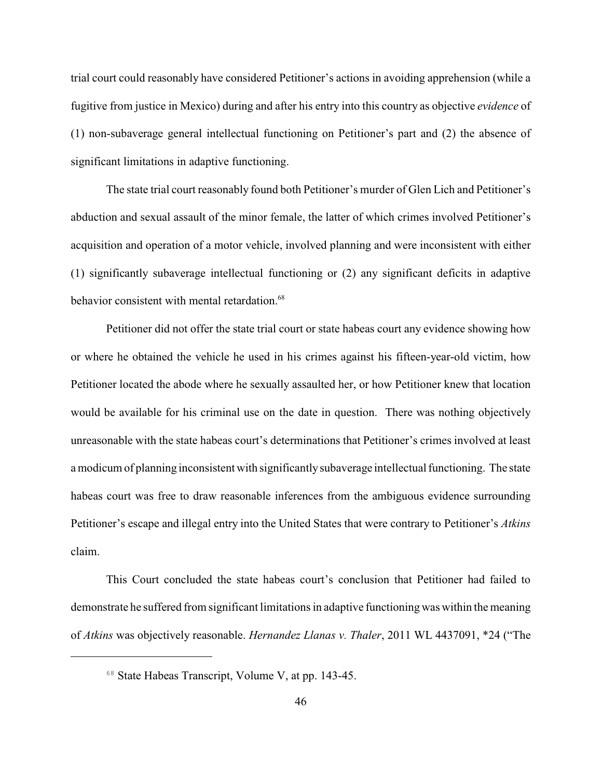trial court could reasonably have considered Petitioner's actions in avoiding apprehension (while a fugitive from justice in Mexico) during and after his entry into this country as objective *evidence* of (1) non-subaverage general intellectual functioning on Petitioner's part and (2) the absence of significant limitations in adaptive functioning.

The state trial court reasonably found both Petitioner's murder of Glen Lich and Petitioner's abduction and sexual assault of the minor female, the latter of which crimes involved Petitioner's acquisition and operation of a motor vehicle, involved planning and were inconsistent with either (1) significantly subaverage intellectual functioning or (2) any significant deficits in adaptive behavior consistent with mental retardation.<sup>68</sup>

Petitioner did not offer the state trial court or state habeas court any evidence showing how or where he obtained the vehicle he used in his crimes against his fifteen-year-old victim, how Petitioner located the abode where he sexually assaulted her, or how Petitioner knew that location would be available for his criminal use on the date in question. There was nothing objectively unreasonable with the state habeas court's determinations that Petitioner's crimes involved at least a modicum of planning inconsistent with significantlysubaverage intellectual functioning. The state habeas court was free to draw reasonable inferences from the ambiguous evidence surrounding Petitioner's escape and illegal entry into the United States that were contrary to Petitioner's *Atkins* claim.

This Court concluded the state habeas court's conclusion that Petitioner had failed to demonstrate he suffered from significant limitations in adaptive functioning was within the meaning of *Atkins* was objectively reasonable. *Hernandez Llanas v. Thaler*, 2011 WL 4437091, \*24 ("The

<sup>&</sup>lt;sup>68</sup> State Habeas Transcript, Volume V, at pp. 143-45.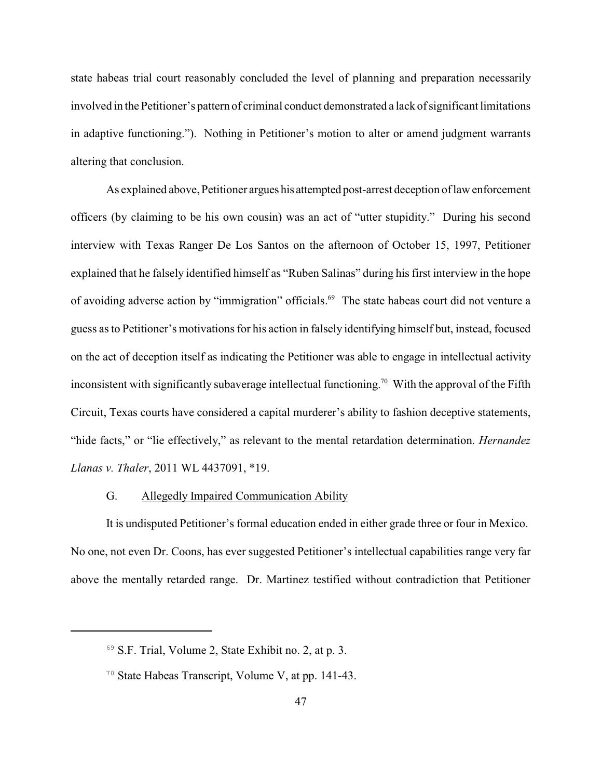state habeas trial court reasonably concluded the level of planning and preparation necessarily involved in the Petitioner's pattern of criminal conduct demonstrated a lack of significant limitations in adaptive functioning."). Nothing in Petitioner's motion to alter or amend judgment warrants altering that conclusion.

As explained above, Petitioner argues his attempted post-arrest deception of law enforcement officers (by claiming to be his own cousin) was an act of "utter stupidity." During his second interview with Texas Ranger De Los Santos on the afternoon of October 15, 1997, Petitioner explained that he falsely identified himself as "Ruben Salinas" during his first interview in the hope of avoiding adverse action by "immigration" officials.<sup>69</sup> The state habeas court did not venture a guess as to Petitioner's motivations for his action in falsely identifying himself but, instead, focused on the act of deception itself as indicating the Petitioner was able to engage in intellectual activity inconsistent with significantly subaverage intellectual functioning.<sup>70</sup> With the approval of the Fifth Circuit, Texas courts have considered a capital murderer's ability to fashion deceptive statements, "hide facts," or "lie effectively," as relevant to the mental retardation determination. *Hernandez Llanas v. Thaler*, 2011 WL 4437091, \*19.

# G. Allegedly Impaired Communication Ability

It is undisputed Petitioner's formal education ended in either grade three or four in Mexico. No one, not even Dr. Coons, has ever suggested Petitioner's intellectual capabilities range very far above the mentally retarded range. Dr. Martinez testified without contradiction that Petitioner

 $69$  S.F. Trial, Volume 2, State Exhibit no. 2, at p. 3.

 $70$  State Habeas Transcript, Volume V, at pp. 141-43.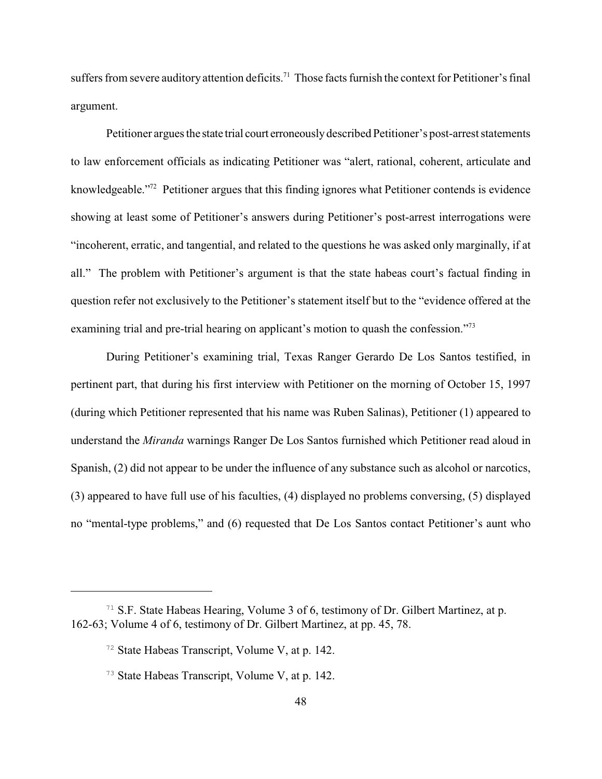suffers from severe auditory attention deficits.<sup>71</sup> Those facts furnish the context for Petitioner's final argument.

Petitioner argues the state trial court erroneouslydescribed Petitioner's post-arrest statements to law enforcement officials as indicating Petitioner was "alert, rational, coherent, articulate and knowledgeable."<sup>72</sup> Petitioner argues that this finding ignores what Petitioner contends is evidence showing at least some of Petitioner's answers during Petitioner's post-arrest interrogations were "incoherent, erratic, and tangential, and related to the questions he was asked only marginally, if at all." The problem with Petitioner's argument is that the state habeas court's factual finding in question refer not exclusively to the Petitioner's statement itself but to the "evidence offered at the examining trial and pre-trial hearing on applicant's motion to quash the confession."<sup>73</sup>

During Petitioner's examining trial, Texas Ranger Gerardo De Los Santos testified, in pertinent part, that during his first interview with Petitioner on the morning of October 15, 1997 (during which Petitioner represented that his name was Ruben Salinas), Petitioner (1) appeared to understand the *Miranda* warnings Ranger De Los Santos furnished which Petitioner read aloud in Spanish, (2) did not appear to be under the influence of any substance such as alcohol or narcotics, (3) appeared to have full use of his faculties, (4) displayed no problems conversing, (5) displayed no "mental-type problems," and (6) requested that De Los Santos contact Petitioner's aunt who

<sup>&</sup>lt;sup>71</sup> S.F. State Habeas Hearing, Volume 3 of 6, testimony of Dr. Gilbert Martinez, at p. 162-63; Volume 4 of 6, testimony of Dr. Gilbert Martinez, at pp. 45, 78.

 $72$  State Habeas Transcript, Volume V, at p. 142.

 $73$  State Habeas Transcript, Volume V, at p. 142.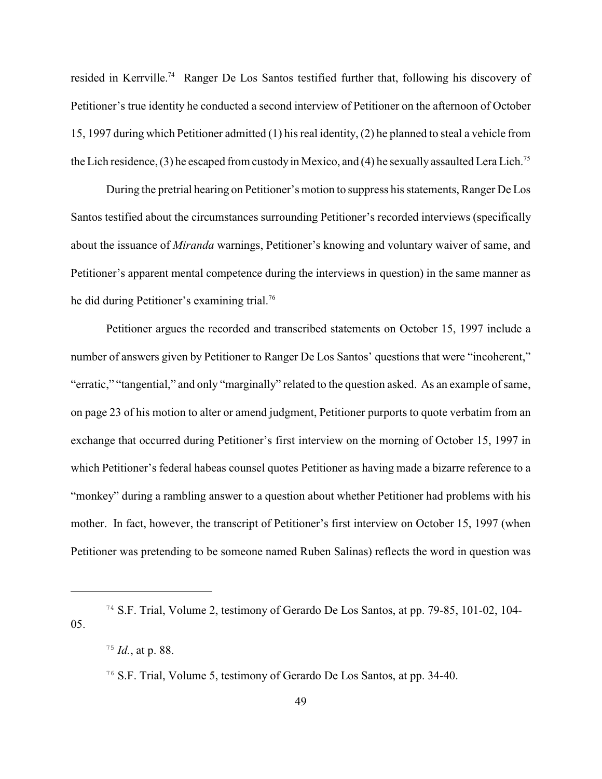resided in Kerrville.<sup>74</sup> Ranger De Los Santos testified further that, following his discovery of Petitioner's true identity he conducted a second interview of Petitioner on the afternoon of October 15, 1997 during which Petitioner admitted (1) his real identity, (2) he planned to steal a vehicle from the Lich residence, (3) he escaped from custody in Mexico, and (4) he sexually assaulted Lera Lich.<sup>75</sup>

During the pretrial hearing on Petitioner's motion to suppress his statements, Ranger De Los Santos testified about the circumstances surrounding Petitioner's recorded interviews (specifically about the issuance of *Miranda* warnings, Petitioner's knowing and voluntary waiver of same, and Petitioner's apparent mental competence during the interviews in question) in the same manner as he did during Petitioner's examining trial.<sup>76</sup>

Petitioner argues the recorded and transcribed statements on October 15, 1997 include a number of answers given by Petitioner to Ranger De Los Santos' questions that were "incoherent," "erratic," "tangential," and only "marginally" related to the question asked. As an example of same, on page 23 of his motion to alter or amend judgment, Petitioner purports to quote verbatim from an exchange that occurred during Petitioner's first interview on the morning of October 15, 1997 in which Petitioner's federal habeas counsel quotes Petitioner as having made a bizarre reference to a "monkey" during a rambling answer to a question about whether Petitioner had problems with his mother. In fact, however, the transcript of Petitioner's first interview on October 15, 1997 (when Petitioner was pretending to be someone named Ruben Salinas) reflects the word in question was

<sup>&</sup>lt;sup>74</sup> S.F. Trial, Volume 2, testimony of Gerardo De Los Santos, at pp. 79-85, 101-02, 104-05.

 $^{75}$  *Id.*, at p. 88.

<sup>&</sup>lt;sup>76</sup> S.F. Trial, Volume 5, testimony of Gerardo De Los Santos, at pp. 34-40.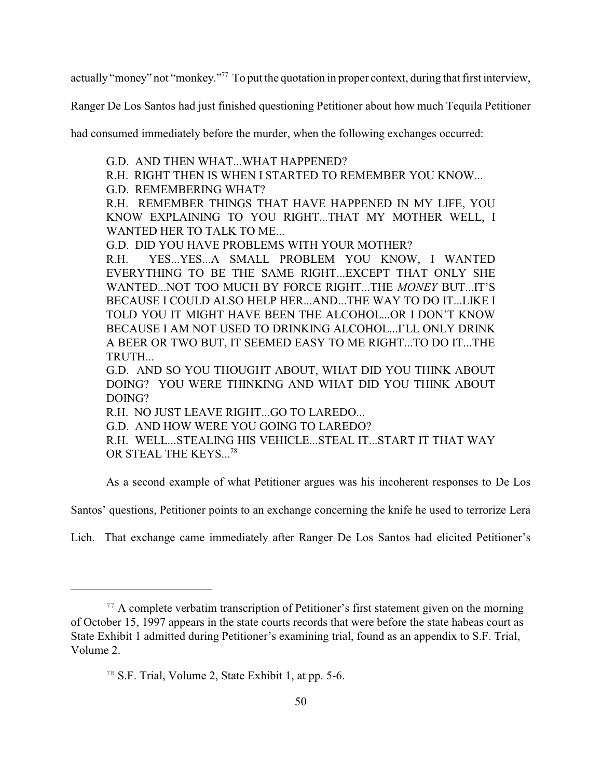actually "money" not "monkey."<sup>77</sup> To put the quotation in proper context, during that first interview,

Ranger De Los Santos had just finished questioning Petitioner about how much Tequila Petitioner

had consumed immediately before the murder, when the following exchanges occurred:

- G.D. AND THEN WHAT...WHAT HAPPENED?
- R.H. RIGHT THEN IS WHEN I STARTED TO REMEMBER YOU KNOW...
- G.D. REMEMBERING WHAT?

R.H. REMEMBER THINGS THAT HAVE HAPPENED IN MY LIFE, YOU KNOW EXPLAINING TO YOU RIGHT...THAT MY MOTHER WELL, I WANTED HER TO TALK TO ME...

G.D. DID YOU HAVE PROBLEMS WITH YOUR MOTHER?

R.H. YES...YES...A SMALL PROBLEM YOU KNOW, I WANTED EVERYTHING TO BE THE SAME RIGHT...EXCEPT THAT ONLY SHE WANTED...NOT TOO MUCH BY FORCE RIGHT...THE *MONEY* BUT...IT'S BECAUSE I COULD ALSO HELP HER...AND...THE WAY TO DO IT...LIKE I TOLD YOU IT MIGHT HAVE BEEN THE ALCOHOL...OR I DON'T KNOW BECAUSE I AM NOT USED TO DRINKING ALCOHOL...I'LL ONLY DRINK A BEER OR TWO BUT, IT SEEMED EASY TO ME RIGHT...TO DO IT...THE TRUTH...

G.D. AND SO YOU THOUGHT ABOUT, WHAT DID YOU THINK ABOUT DOING? YOU WERE THINKING AND WHAT DID YOU THINK ABOUT DOING?

R.H. NO JUST LEAVE RIGHT...GO TO LAREDO...

G.D. AND HOW WERE YOU GOING TO LAREDO?

R.H. WELL...STEALING HIS VEHICLE...STEAL IT...START IT THAT WAY OR STEAL THE KEYS...<sup>78</sup>

As a second example of what Petitioner argues was his incoherent responses to De Los

Santos' questions, Petitioner points to an exchange concerning the knife he used to terrorize Lera

Lich. That exchange came immediately after Ranger De Los Santos had elicited Petitioner's

 $\frac{77}{7}$  A complete verbatim transcription of Petitioner's first statement given on the morning of October 15, 1997 appears in the state courts records that were before the state habeas court as State Exhibit 1 admitted during Petitioner's examining trial, found as an appendix to S.F. Trial, Volume 2.

 $78$  S.F. Trial, Volume 2, State Exhibit 1, at pp. 5-6.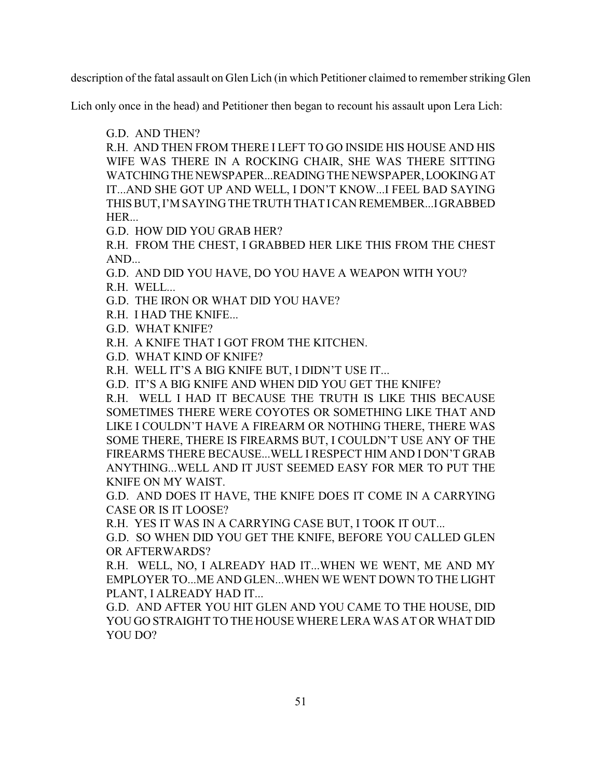description of the fatal assault on Glen Lich (in which Petitioner claimed to remember striking Glen

Lich only once in the head) and Petitioner then began to recount his assault upon Lera Lich:

G.D. AND THEN?

R.H. AND THEN FROM THERE I LEFT TO GO INSIDE HIS HOUSE AND HIS WIFE WAS THERE IN A ROCKING CHAIR, SHE WAS THERE SITTING WATCHINGTHENEWSPAPER...READING THE NEWSPAPER,LOOKINGAT IT...AND SHE GOT UP AND WELL, I DON'T KNOW...I FEEL BAD SAYING THIS BUT, I'M SAYING THE TRUTH THAT ICAN REMEMBER...IGRABBED HER...

G.D. HOW DID YOU GRAB HER?

R.H. FROM THE CHEST, I GRABBED HER LIKE THIS FROM THE CHEST AND...

G.D. AND DID YOU HAVE, DO YOU HAVE A WEAPON WITH YOU?

R.H. WELL...

G.D. THE IRON OR WHAT DID YOU HAVE?

R.H. I HAD THE KNIFE...

G.D. WHAT KNIFE?

R.H. A KNIFE THAT I GOT FROM THE KITCHEN.

G.D. WHAT KIND OF KNIFE?

R.H. WELL IT'S A BIG KNIFE BUT, I DIDN'T USE IT...

G.D. IT'S A BIG KNIFE AND WHEN DID YOU GET THE KNIFE?

R.H. WELL I HAD IT BECAUSE THE TRUTH IS LIKE THIS BECAUSE SOMETIMES THERE WERE COYOTES OR SOMETHING LIKE THAT AND LIKE I COULDN'T HAVE A FIREARM OR NOTHING THERE, THERE WAS SOME THERE, THERE IS FIREARMS BUT, I COULDN'T USE ANY OF THE FIREARMS THERE BECAUSE...WELL I RESPECT HIM AND I DON'T GRAB ANYTHING...WELL AND IT JUST SEEMED EASY FOR MER TO PUT THE KNIFE ON MY WAIST.

G.D. AND DOES IT HAVE, THE KNIFE DOES IT COME IN A CARRYING CASE OR IS IT LOOSE?

R.H. YES IT WAS IN A CARRYING CASE BUT, I TOOK IT OUT...

G.D. SO WHEN DID YOU GET THE KNIFE, BEFORE YOU CALLED GLEN OR AFTERWARDS?

R.H. WELL, NO, I ALREADY HAD IT...WHEN WE WENT, ME AND MY EMPLOYER TO...ME AND GLEN...WHEN WE WENT DOWN TO THE LIGHT PLANT, I ALREADY HAD IT...

G.D. AND AFTER YOU HIT GLEN AND YOU CAME TO THE HOUSE, DID YOU GO STRAIGHT TO THE HOUSE WHERE LERA WAS AT OR WHAT DID YOU DO?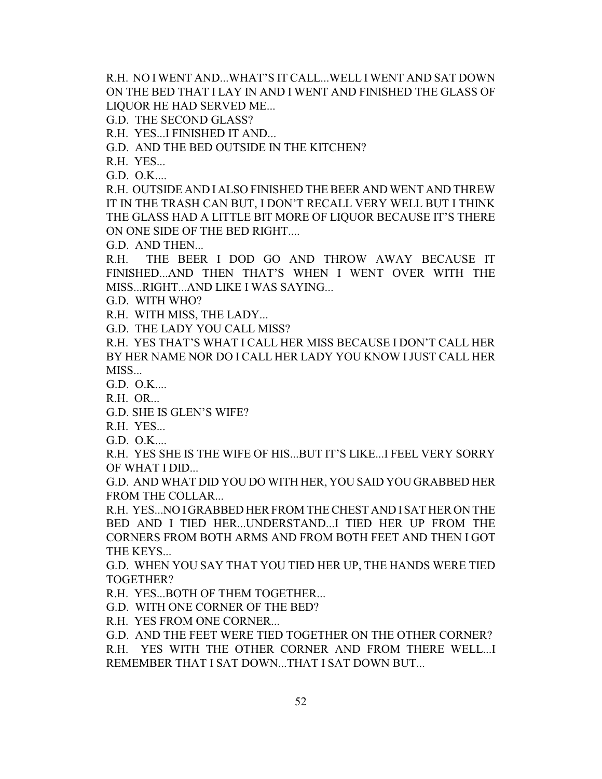R.H. NO I WENT AND...WHAT'S IT CALL...WELL I WENT AND SAT DOWN ON THE BED THAT I LAY IN AND I WENT AND FINISHED THE GLASS OF LIQUOR HE HAD SERVED ME...

G.D. THE SECOND GLASS?

R.H. YES...I FINISHED IT AND...

G.D. AND THE BED OUTSIDE IN THE KITCHEN?

R.H. YES...

G.D. O.K....

R.H. OUTSIDE AND I ALSO FINISHED THE BEER AND WENT AND THREW IT IN THE TRASH CAN BUT, I DON'T RECALL VERY WELL BUT I THINK THE GLASS HAD A LITTLE BIT MORE OF LIQUOR BECAUSE IT'S THERE ON ONE SIDE OF THE BED RIGHT....

G.D. AND THEN...

R.H. THE BEER I DOD GO AND THROW AWAY BECAUSE IT FINISHED...AND THEN THAT'S WHEN I WENT OVER WITH THE MISS...RIGHT...AND LIKE I WAS SAYING...

G.D. WITH WHO?

R.H. WITH MISS, THE LADY...

G.D. THE LADY YOU CALL MISS?

R.H. YES THAT'S WHAT I CALL HER MISS BECAUSE I DON'T CALL HER BY HER NAME NOR DO I CALL HER LADY YOU KNOW I JUST CALL HER MISS...

G.D. O.K....

R.H. OR...

G.D. SHE IS GLEN'S WIFE?

R.H. YES...

G.D. O.K....

R.H. YES SHE IS THE WIFE OF HIS...BUT IT'S LIKE...I FEEL VERY SORRY OF WHAT I DID...

G.D. AND WHAT DID YOU DO WITH HER, YOU SAID YOU GRABBED HER FROM THE COLLAR...

R.H. YES...NO IGRABBED HER FROM THE CHEST AND ISAT HER ON THE BED AND I TIED HER...UNDERSTAND...I TIED HER UP FROM THE CORNERS FROM BOTH ARMS AND FROM BOTH FEET AND THEN I GOT THE KEYS...

G.D. WHEN YOU SAY THAT YOU TIED HER UP, THE HANDS WERE TIED TOGETHER?

R.H. YES...BOTH OF THEM TOGETHER...

G.D. WITH ONE CORNER OF THE BED?

R.H. YES FROM ONE CORNER...

G.D. AND THE FEET WERE TIED TOGETHER ON THE OTHER CORNER?

R.H. YES WITH THE OTHER CORNER AND FROM THERE WELL...I REMEMBER THAT I SAT DOWN...THAT I SAT DOWN BUT...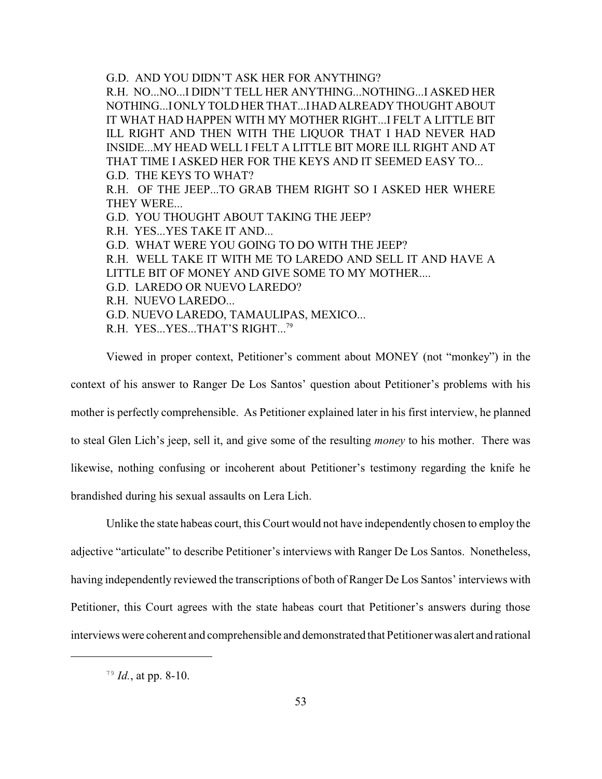G.D. AND YOU DIDN'T ASK HER FOR ANYTHING? R.H. NO...NO...I DIDN'T TELL HER ANYTHING...NOTHING...I ASKED HER NOTHING...IONLY TOLD HER THAT...IHAD ALREADY THOUGHT ABOUT IT WHAT HAD HAPPEN WITH MY MOTHER RIGHT...I FELT A LITTLE BIT ILL RIGHT AND THEN WITH THE LIQUOR THAT I HAD NEVER HAD INSIDE...MY HEAD WELL I FELT A LITTLE BIT MORE ILL RIGHT AND AT THAT TIME I ASKED HER FOR THE KEYS AND IT SEEMED EASY TO... G.D. THE KEYS TO WHAT? R.H. OF THE JEEP...TO GRAB THEM RIGHT SO I ASKED HER WHERE THEY WERE... G.D. YOU THOUGHT ABOUT TAKING THE JEEP? R.H. YES...YES TAKE IT AND... G.D. WHAT WERE YOU GOING TO DO WITH THE JEEP? R.H. WELL TAKE IT WITH ME TO LAREDO AND SELL IT AND HAVE A LITTLE BIT OF MONEY AND GIVE SOME TO MY MOTHER.... G.D. LAREDO OR NUEVO LAREDO? R.H. NUEVO LAREDO... G.D. NUEVO LAREDO, TAMAULIPAS, MEXICO... R.H. YES...YES...THAT'S RIGHT...<sup>79</sup>

Viewed in proper context, Petitioner's comment about MONEY (not "monkey") in the context of his answer to Ranger De Los Santos' question about Petitioner's problems with his mother is perfectly comprehensible. As Petitioner explained later in his first interview, he planned to steal Glen Lich's jeep, sell it, and give some of the resulting *money* to his mother. There was likewise, nothing confusing or incoherent about Petitioner's testimony regarding the knife he brandished during his sexual assaults on Lera Lich.

Unlike the state habeas court, this Court would not have independently chosen to employ the adjective "articulate" to describe Petitioner's interviews with Ranger De Los Santos. Nonetheless, having independently reviewed the transcriptions of both of Ranger De Los Santos' interviews with Petitioner, this Court agrees with the state habeas court that Petitioner's answers during those interviews were coherent and comprehensible and demonstrated that Petitionerwas alert and rational

 $^{79}$  *Id.*, at pp. 8-10.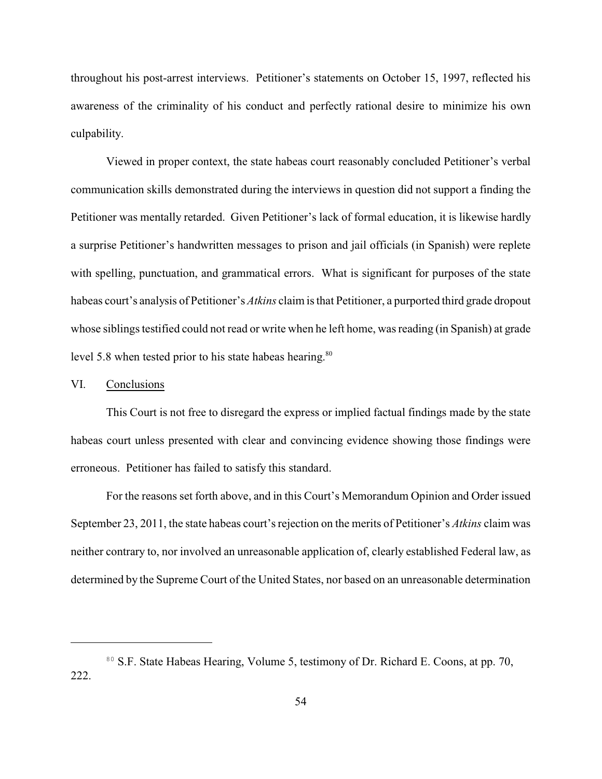throughout his post-arrest interviews. Petitioner's statements on October 15, 1997, reflected his awareness of the criminality of his conduct and perfectly rational desire to minimize his own culpability.

Viewed in proper context, the state habeas court reasonably concluded Petitioner's verbal communication skills demonstrated during the interviews in question did not support a finding the Petitioner was mentally retarded. Given Petitioner's lack of formal education, it is likewise hardly a surprise Petitioner's handwritten messages to prison and jail officials (in Spanish) were replete with spelling, punctuation, and grammatical errors. What is significant for purposes of the state habeas court's analysis of Petitioner's *Atkins* claim is that Petitioner, a purported third grade dropout whose siblings testified could not read or write when he left home, was reading (in Spanish) at grade level 5.8 when tested prior to his state habeas hearing.<sup>80</sup>

# VI. Conclusions

This Court is not free to disregard the express or implied factual findings made by the state habeas court unless presented with clear and convincing evidence showing those findings were erroneous. Petitioner has failed to satisfy this standard.

For the reasons set forth above, and in this Court's Memorandum Opinion and Order issued September 23, 2011, the state habeas court's rejection on the merits of Petitioner's *Atkins* claim was neither contrary to, nor involved an unreasonable application of, clearly established Federal law, as determined by the Supreme Court of the United States, nor based on an unreasonable determination

<sup>&</sup>lt;sup>80</sup> S.F. State Habeas Hearing, Volume 5, testimony of Dr. Richard E. Coons, at pp. 70, 222.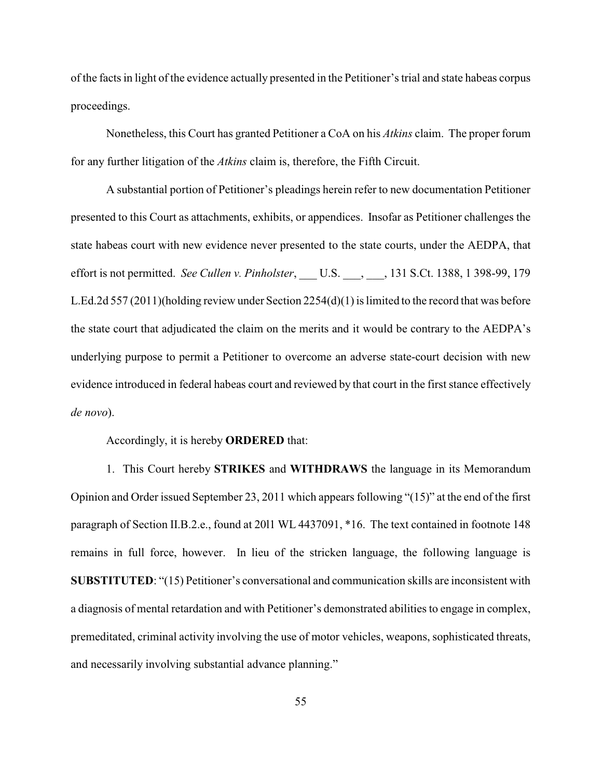of the facts in light of the evidence actually presented in the Petitioner's trial and state habeas corpus proceedings.

Nonetheless, this Court has granted Petitioner a CoA on his *Atkins* claim. The proper forum for any further litigation of the *Atkins* claim is, therefore, the Fifth Circuit.

A substantial portion of Petitioner's pleadings herein refer to new documentation Petitioner presented to this Court as attachments, exhibits, or appendices. Insofar as Petitioner challenges the state habeas court with new evidence never presented to the state courts, under the AEDPA, that effort is not permitted. *See Cullen v. Pinholster*, U.S., 131 S.Ct. 1388, 1 398-99, 179 L.Ed.2d 557 (2011)(holding review under Section 2254(d)(1) is limited to the record that was before the state court that adjudicated the claim on the merits and it would be contrary to the AEDPA's underlying purpose to permit a Petitioner to overcome an adverse state-court decision with new evidence introduced in federal habeas court and reviewed by that court in the first stance effectively *de novo*).

Accordingly, it is hereby **ORDERED** that:

1. This Court hereby **STRIKES** and **WITHDRAWS** the language in its Memorandum Opinion and Order issued September 23, 2011 which appears following "(15)" at the end of the first paragraph of Section II.B.2.e., found at 20l1 WL 4437091, \*16. The text contained in footnote 148 remains in full force, however. In lieu of the stricken language, the following language is **SUBSTITUTED**: "(15) Petitioner's conversational and communication skills are inconsistent with a diagnosis of mental retardation and with Petitioner's demonstrated abilities to engage in complex, premeditated, criminal activity involving the use of motor vehicles, weapons, sophisticated threats, and necessarily involving substantial advance planning."